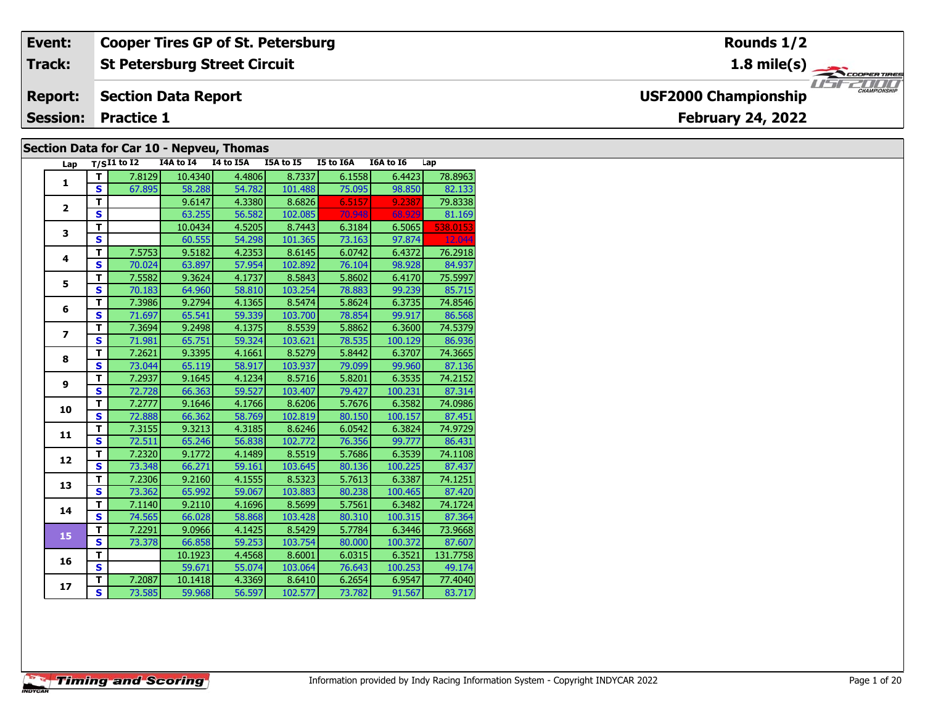| Event:                                   | <b>Cooper Tires GP of St. Petersburg</b>      | Rounds 1/2                                         |  |  |  |  |  |  |  |  |  |  |
|------------------------------------------|-----------------------------------------------|----------------------------------------------------|--|--|--|--|--|--|--|--|--|--|
| <b>Track:</b>                            | <b>St Petersburg Street Circuit</b>           | $1.8 \text{ mile(s)}$                              |  |  |  |  |  |  |  |  |  |  |
| <b>Report:</b>                           | <b>Section Data Report</b>                    | <b>CHAMPIONSHIP</b><br><b>USF2000 Championship</b> |  |  |  |  |  |  |  |  |  |  |
| <b>Session:</b>                          | <b>February 24, 2022</b><br><b>Practice 1</b> |                                                    |  |  |  |  |  |  |  |  |  |  |
| Section Data for Car 10 - Nepveu, Thomas |                                               |                                                    |  |  |  |  |  |  |  |  |  |  |

| Lap                      |                         | $T/SI1$ to I2 | I4A to I4 | I4 to I5A | I5A to $15$ | I5 to I6A | I6A to I6 | Lap      |
|--------------------------|-------------------------|---------------|-----------|-----------|-------------|-----------|-----------|----------|
| 1                        | т                       | 7.8129        | 10.4340   | 4.4806    | 8.7337      | 6.1558    | 6.4423    | 78.8963  |
|                          | S                       | 67.895        | 58.288    | 54.782    | 101.488     | 75.095    | 98.850    | 82.133   |
| $\overline{2}$           | T.                      |               | 9.6147    | 4.3380    | 8.6826      | 6.5157    | 9.2387    | 79.8338  |
|                          | S                       |               | 63.255    | 56.582    | 102.085     | 70.948    | 68.929    | 81.169   |
| 3                        | T.                      |               | 10.0434   | 4.5205    | 8.7443      | 6.3184    | 6.5065    | 538.0153 |
|                          | S                       |               | 60.555    | 54.298    | 101.365     | 73.163    | 97.874    | 12.044   |
| 4                        | T.                      | 7.5753        | 9.5182    | 4.2353    | 8.6145      | 6.0742    | 6.4372    | 76.2918  |
|                          | S                       | 70.024        | 63.897    | 57.954    | 102.892     | 76.104    | 98.928    | 84.937   |
| 5                        | T.                      | 7.5582        | 9.3624    | 4.1737    | 8.5843      | 5.8602    | 6.4170    | 75.5997  |
|                          | S                       | 70.183        | 64.960    | 58.810    | 103.254     | 78.883    | 99.239    | 85.715   |
| 6                        | T.                      | 7.3986        | 9.2794    | 4.1365    | 8.5474      | 5.8624    | 6.3735    | 74.8546  |
|                          | S                       | 71.697        | 65.541    | 59.339    | 103.700     | 78.854    | 99.917    | 86.568   |
| $\overline{\phantom{a}}$ | T.                      | 7.3694        | 9.2498    | 4.1375    | 8.5539      | 5.8862    | 6.3600    | 74.5379  |
|                          | S.                      | 71.981        | 65.751    | 59.324    | 103.621     | 78.535    | 100.129   | 86.936   |
| 8                        | T.                      | 7.2621        | 9.3395    | 4.1661    | 8.5279      | 5.8442    | 6.3707    | 74.3665  |
|                          | S                       | 73.044        | 65.119    | 58.917    | 103.937     | 79.099    | 99.960    | 87.136   |
| 9                        | T.                      | 7.2937        | 9.1645    | 4.1234    | 8.5716      | 5.8201    | 6.3535    | 74.2152  |
|                          | S.                      | 72.728        | 66.363    | 59.527    | 103.407     | 79.427    | 100.231   | 87.314   |
| 10                       | T                       | 7.2777        | 9.1646    | 4.1766    | 8.6206      | 5.7676    | 6.3582    | 74.0986  |
|                          | $\overline{\mathbf{s}}$ | 72.888        | 66.362    | 58.769    | 102.819     | 80.150    | 100.157   | 87.451   |
| 11                       | T                       | 7.3155        | 9.3213    | 4.3185    | 8.6246      | 6.0542    | 6.3824    | 74.9729  |
|                          | S                       | 72.511        | 65.246    | 56.838    | 102.772     | 76.356    | 99.777    | 86.431   |
| 12                       | T                       | 7.2320        | 9.1772    | 4.1489    | 8.5519      | 5.7686    | 6.3539    | 74.1108  |
|                          | S                       | 73.348        | 66.271    | 59.161    | 103.645     | 80.136    | 100.225   | 87.437   |
| 13                       | T.                      | 7.2306        | 9.2160    | 4.1555    | 8.5323      | 5.7613    | 6.3387    | 74.1251  |
|                          | $\overline{\mathbf{s}}$ | 73.362        | 65.992    | 59.067    | 103.883     | 80.238    | 100.465   | 87.420   |
| 14                       | T.                      | 7.1140        | 9.2110    | 4.1696    | 8.5699      | 5.7561    | 6.3482    | 74.1724  |
|                          | $\overline{\mathbf{s}}$ | 74.565        | 66.028    | 58.868    | 103.428     | 80.310    | 100.315   | 87.364   |
| 15                       | T.                      | 7.2291        | 9.0966    | 4.1425    | 8.5429      | 5.7784    | 6.3446    | 73.9668  |
|                          | S                       | 73.378        | 66.858    | 59.253    | 103.754     | 80.000    | 100.372   | 87.607   |
| 16                       | т                       |               | 10.1923   | 4.4568    | 8.6001      | 6.0315    | 6.3521    | 131.7758 |
|                          | $\overline{\mathbf{s}}$ |               | 59.671    | 55.074    | 103.064     | 76.643    | 100.253   | 49.174   |
| 17                       | T                       | 7.2087        | 10.1418   | 4.3369    | 8.6410      | 6.2654    | 6.9547    | 77.4040  |
|                          | S                       | 73.585        | 59.968    | 56.597    | 102.577     | 73.782    | 91.567    | 83.717   |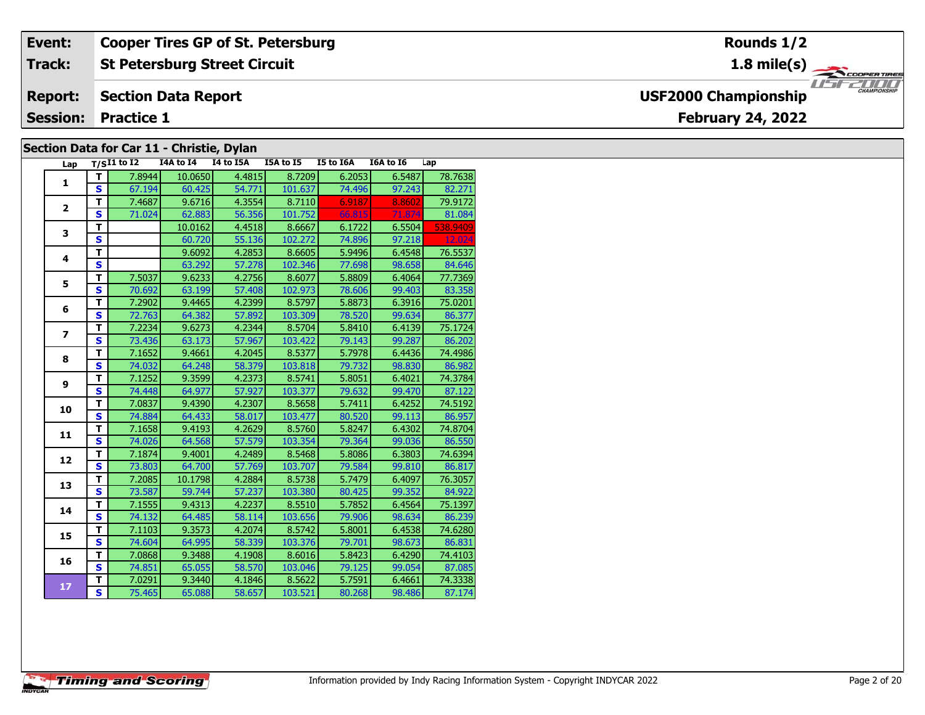| Event:                                                 | <b>Cooper Tires GP of St. Petersburg</b>  | Rounds 1/2                                         |  |  |  |  |  |  |  |  |
|--------------------------------------------------------|-------------------------------------------|----------------------------------------------------|--|--|--|--|--|--|--|--|
| <b>Track:</b>                                          | <b>St Petersburg Street Circuit</b>       | 1.8 mile(s) $\rightarrow$<br><b>COOPERTIRES</b>    |  |  |  |  |  |  |  |  |
| <b>Report:</b>                                         | <b>Section Data Report</b>                | <b>CHAMPIONSHIP</b><br><b>USF2000 Championship</b> |  |  |  |  |  |  |  |  |
| <b>Session: Practice 1</b><br><b>February 24, 2022</b> |                                           |                                                    |  |  |  |  |  |  |  |  |
|                                                        | Section Data for Car 11 - Christie, Dylan |                                                    |  |  |  |  |  |  |  |  |

| Lap                      |                         | $T/SI1$ to $\overline{I2}$ | I4A to I4 | I4 to I5A | I5A to I5 | I5 to I6A | I6A to I6 | Lap      |
|--------------------------|-------------------------|----------------------------|-----------|-----------|-----------|-----------|-----------|----------|
| 1                        | т                       | 7.8944                     | 10.0650   | 4.4815    | 8.7209    | 6.2053    | 6.5487    | 78.7638  |
|                          | $\mathbf{s}$            | 67.194                     | 60.425    | 54.771    | 101.637   | 74.496    | 97.243    | 82.271   |
| $\overline{2}$           | T                       | 7.4687                     | 9.6716    | 4.3554    | 8.7110    | 6.9187    | 8.8602    | 79.9172  |
|                          | S                       | 71.024                     | 62.883    | 56.356    | 101.752   | 66.815    | 71.874    | 81.084   |
| 3                        | T                       |                            | 10.0162   | 4.4518    | 8.6667    | 6.1722    | 6.5504    | 538.9409 |
|                          | S                       |                            | 60.720    | 55.136    | 102.272   | 74.896    | 97.218    | 12.024   |
| 4                        | т                       |                            | 9.6092    | 4.2853    | 8.6605    | 5.9496    | 6.4548    | 76.5537  |
|                          | S                       |                            | 63.292    | 57.278    | 102.346   | 77.698    | 98.658    | 84.646   |
| 5                        | T.                      | 7.5037                     | 9.6233    | 4.2756    | 8.6077    | 5.8809    | 6.4064    | 77.7369  |
|                          | $\overline{\mathbf{s}}$ | 70.692                     | 63.199    | 57.408    | 102.973   | 78.606    | 99.403    | 83.358   |
| 6                        | т                       | 7.2902                     | 9.4465    | 4.2399    | 8.5797    | 5.8873    | 6.3916    | 75.0201  |
|                          | $\mathbf{s}$            | 72.763                     | 64.382    | 57.892    | 103.309   | 78.520    | 99.634    | 86.377   |
| $\overline{\phantom{a}}$ | т                       | 7.2234                     | 9.6273    | 4.2344    | 8.5704    | 5.8410    | 6.4139    | 75.1724  |
|                          | $\mathbf{s}$            | 73.436                     | 63.173    | 57.967    | 103.422   | 79.143    | 99.287    | 86.202   |
| 8                        | т                       | 7.1652                     | 9.4661    | 4.2045    | 8.5377    | 5.7978    | 6.4436    | 74.4986  |
|                          | S                       | 74.032                     | 64.248    | 58.379    | 103.818   | 79.732    | 98.830    | 86.982   |
| 9                        | т                       | 7.1252                     | 9.3599    | 4.2373    | 8.5741    | 5.8051    | 6.4021    | 74.3784  |
|                          | $\overline{\mathbf{s}}$ | 74.448                     | 64.977    | 57.927    | 103.377   | 79.632    | 99.470    | 87.122   |
| 10                       | T                       | 7.0837                     | 9.4390    | 4.2307    | 8.5658    | 5.7411    | 6.4252    | 74.5192  |
|                          | $\overline{\mathbf{s}}$ | 74.884                     | 64.433    | 58.017    | 103.477   | 80.520    | 99.113    | 86.957   |
| 11                       | T                       | 7.1658                     | 9.4193    | 4.2629    | 8.5760    | 5.8247    | 6.4302    | 74.8704  |
|                          | $\overline{\mathbf{s}}$ | 74.026                     | 64.568    | 57.579    | 103.354   | 79.364    | 99.036    | 86.550   |
| 12                       | T                       | 7.1874                     | 9.4001    | 4.2489    | 8.5468    | 5.8086    | 6.3803    | 74.6394  |
|                          | $\mathbf{s}$            | 73.803                     | 64.700    | 57.769    | 103.707   | 79.584    | 99.810    | 86.817   |
| 13                       | T                       | 7.2085                     | 10.1798   | 4.2884    | 8.5738    | 5.7479    | 6.4097    | 76.3057  |
|                          | $\overline{\mathbf{s}}$ | 73.587                     | 59.744    | 57.237    | 103.380   | 80.425    | 99.352    | 84.922   |
| 14                       | T                       | 7.1555                     | 9.4313    | 4.2237    | 8.5510    | 5.7852    | 6.4564    | 75.1397  |
|                          | $\overline{\mathbf{s}}$ | 74.132                     | 64.485    | 58.114    | 103.656   | 79.906    | 98.634    | 86.239   |
| 15                       | т                       | 7.1103                     | 9.3573    | 4.2074    | 8.5742    | 5.8001    | 6.4538    | 74.6280  |
|                          | S                       | 74.604                     | 64.995    | 58.339    | 103.376   | 79.701    | 98.673    | 86.831   |
| 16                       | т                       | 7.0868                     | 9.3488    | 4.1908    | 8.6016    | 5.8423    | 6.4290    | 74.4103  |
|                          | $\mathbf{s}$            | 74.851                     | 65.055    | 58.570    | 103.046   | 79.125    | 99.054    | 87.085   |
|                          | т                       | 7.0291                     | 9.3440    | 4.1846    | 8.5622    | 5.7591    | 6.4661    | 74.3338  |
| 17                       | S.                      | 75.465                     | 65.088    | 58.657    | 103.521   | 80.268    | 98.486    | 87.174   |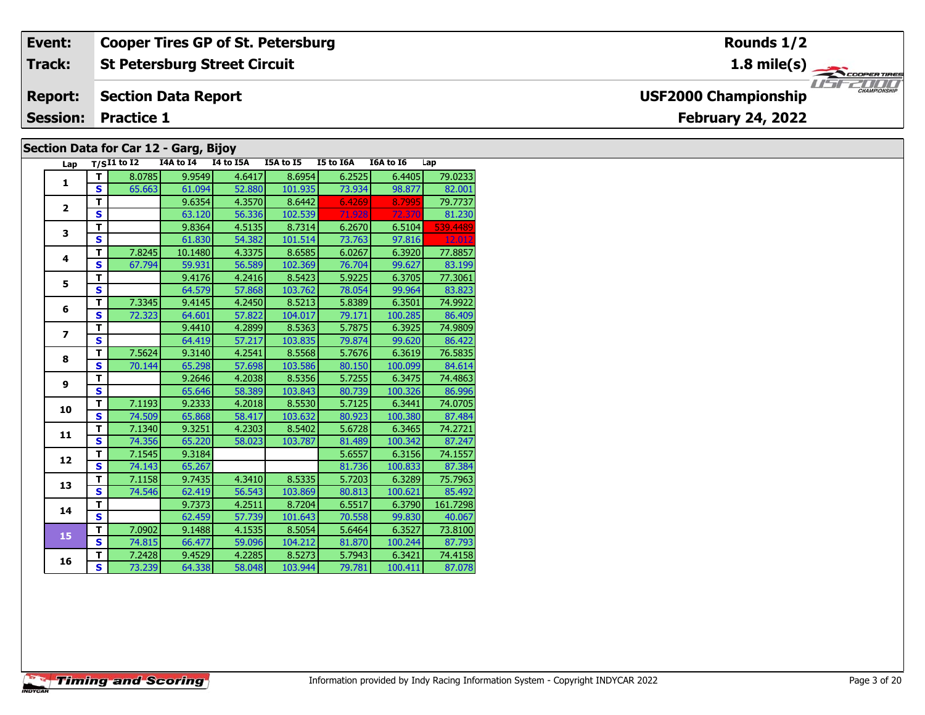#### **Event: Cooper Tires GP of St. Petersburg Rounds 1/2St Petersburg Street Circuit 1.8 mile(s) Track:** THE COOPERTIRES **Section Data Report Report: USF2000 Championship February 24, 2022 Session: Practice 1 Section Data for Car 12 - Garg, Bijoy**

| Lap                     |                         | $T/S$ I1 to I2 | 97 .<br>I4A to I4 | י כני<br>I4 to I5A | I5A to I5 | <b>I5 to I6A</b> | I6A to I6 | Lap      |
|-------------------------|-------------------------|----------------|-------------------|--------------------|-----------|------------------|-----------|----------|
|                         | т                       | 8.0785         | 9.9549            | 4.6417             | 8.6954    | 6.2525           | 6.4405    | 79.0233  |
| 1                       | S                       | 65.663         | 61.094            | 52,880             | 101.935   | 73.934           | 98.877    | 82.001   |
|                         | т                       |                | 9.6354            | 4.3570             | 8.6442    | 6.4269           | 8.7995    | 79.7737  |
| $\overline{2}$          | $\mathbf{s}$            |                | 63.120            | 56.336             | 102.539   | 71.928           | 72.370    | 81.230   |
|                         | т                       |                | 9.8364            | 4.5135             | 8.7314    | 6.2670           | 6.5104    | 539.4489 |
| 3                       | $\mathbf{s}$            |                | 61.830            | 54.382             | 101.514   | 73.763           | 97.816    | 12.012   |
|                         | т                       | 7.8245         | 10.1480           | 4.3375             | 8.6585    | 6.0267           | 6.3920    | 77.8857  |
| 4                       | S                       | 67.794         | 59.931            | 56.589             | 102.369   | 76.704           | 99.627    | 83.199   |
| 5                       | T                       |                | 9.4176            | 4.2416             | 8.5423    | 5.9225           | 6.3705    | 77.3061  |
|                         | $\mathbf{s}$            |                | 64.579            | 57.868             | 103.762   | 78.054           | 99.964    | 83.823   |
| 6                       | T                       | 7.3345         | 9.4145            | 4.2450             | 8.5213    | 5.8389           | 6.3501    | 74.9922  |
|                         | S                       | 72.323         | 64.601            | 57.822             | 104.017   | 79.171           | 100.285   | 86.409   |
| $\overline{\mathbf{z}}$ | T                       |                | 9.4410            | 4.2899             | 8.5363    | 5.7875           | 6.3925    | 74.9809  |
|                         | S                       |                | 64.419            | 57.217             | 103.835   | 79.874           | 99.620    | 86.422   |
| 8                       | т                       | 7.5624         | 9.3140            | 4.2541             | 8.5568    | 5.7676           | 6.3619    | 76.5835  |
|                         | S                       | 70.144         | 65.298            | 57.698             | 103.586   | 80.150           | 100.099   | 84.614   |
| 9                       | T                       |                | 9.2646            | 4.2038             | 8.5356    | 5.7255           | 6.3475    | 74.4863  |
|                         | S                       |                | 65.646            | 58.389             | 103.843   | 80.739           | 100.326   | 86.996   |
| 10                      | T                       | 7.1193         | 9.2333            | 4.2018             | 8.5530    | 5.7125           | 6.3441    | 74.0705  |
|                         | S                       | 74.509         | 65.868            | 58.417             | 103.632   | 80.923           | 100.380   | 87.484   |
| 11                      | $\overline{\mathsf{r}}$ | 7.1340         | 9.3251            | 4.2303             | 8.5402    | 5.6728           | 6.3465    | 74.2721  |
|                         | $\mathbf{s}$            | 74.356         | 65.220            | 58.023             | 103.787   | 81.489           | 100.342   | 87.247   |
| 12                      | T                       | 7.1545         | 9.3184            |                    |           | 5.6557           | 6.3156    | 74.1557  |
|                         | $\mathbf{s}$            | 74.143         | 65.267            |                    |           | 81.736           | 100.833   | 87.384   |
| 13                      | T                       | 7.1158         | 9.7435            | 4.3410             | 8.5335    | 5.7203           | 6.3289    | 75.7963  |
|                         | S                       | 74.546         | 62.419            | 56.543             | 103.869   | 80.813           | 100.621   | 85.492   |
| 14                      | T                       |                | 9.7373            | 4.2511             | 8.7204    | 6.5517           | 6.3790    | 161.7298 |
|                         | $\mathbf{s}$            |                | 62.459            | 57.739             | 101.643   | 70.558           | 99.830    | 40.067   |
| 15                      | T                       | 7.0902         | 9.1488            | 4.1535             | 8.5054    | 5.6464           | 6.3527    | 73.8100  |
|                         | $\mathbf{s}$            | 74.815         | 66.477            | 59.096             | 104.212   | 81.870           | 100.244   | 87.793   |
| 16                      | т                       | 7.2428         | 9.4529            | 4.2285             | 8.5273    | 5.7943           | 6.3421    | 74.4158  |
|                         | $\overline{\mathbf{s}}$ | 73.239         | 64.338            | 58.048             | 103.944   | 79.781           | 100.411   | 87.078   |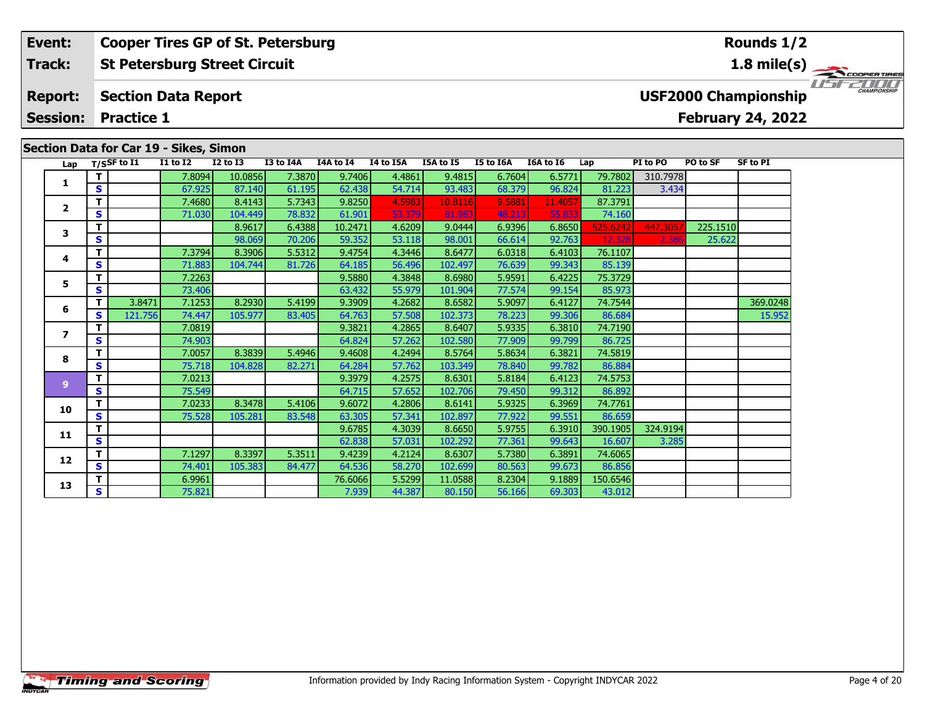### **Lap T/SSF to I1 I1 to I2 I2 to I3 I3 to I4A I4A to I4 I4 to I5A I5A to I5 I5 to I6A I6A to I6 Lap PI to PO PO to SF SF to PI 1 <sup>T</sup>** 7.8094 10.0856 7.3870 9.7406 4.4861 9.4815 6.7604 6.5771 79.7802 310.7978 **<sup>S</sup>** 67.925 87.140 61.195 62.438 54.714 93.483 68.379 96.824 81.223 3.434**Section Data for Car 19 - Sikes, Simon St Petersburg Street Circuit Section Data Report Event: Cooper Tires GP of St. Petersburg Track:Report: Session: Practice 1USF2000 Championship 1.8 mile(s)**

**<sup>T</sup>** 8.9617 6.4388 10.2471 4.6209 9.0444 6.9396 6.8650 525.6242 447.3057 225.1510 **<sup>S</sup>** 98.069 70.206 59.352 53.118 98.001 66.614 92.763 12.328 2.386 25.622

**<sup>T</sup>** 3.8471 7.1253 8.2930 5.4199 9.3909 4.2682 8.6582 5.9097 6.4127 74.7544 369.0248 **<sup>S</sup>** 121.756 74.447 105.977 83.405 64.763 57.508 102.373 78.223 99.306 86.684 15.952

**<sup>T</sup>** 7.4680 8.4143 5.7343 9.8250 4.5983 10.8116 9.5881 11.4057 87.3791 **<sup>S</sup>** 71.030 104.449 78.832 61.901 53.379 81.983 48.213 55.833 74.160

**<sup>T</sup>** 7.3794 8.3906 5.5312 9.4754 4.3446 8.6477 6.0318 6.4103 76.1107 **<sup>S</sup>** 71.883 104.744 81.726 64.185 56.496 102.497 76.639 99.343 85.139

**T** 7.2263 75.3729 75.3729 75.3729 9.5880 4.3848 8.6980 5.9591 6.4225 75.3729<br>TS 73.406 63.432 55.979 101.904 77.574 99.154 85.973

**T** 7.0819 7.0819 9.3821 4.2865 8.6407 5.9335 6.3810 74.7190<br>T S 74.903 66.725 64.824 57.262 102.580 77.909 99.799 86.725

**<sup>T</sup>** 7.0057 8.3839 5.4946 9.4608 4.2494 8.5764 5.8634 6.3821 74.5819 **<sup>S</sup>** 75.718 104.828 82.271 64.284 57.762 103.349 78.840 99.782 86.884

**<sup>T</sup>** 7.0213 9.3979 4.2575 8.6301 5.8184 6.4123 74.5753 **<sup>S</sup>** 75.549 64.715 57.652 102.706 79.450 99.312 86.892

**<sup>T</sup>** 7.0233 8.3478 5.4106 9.6072 4.2806 8.6141 5.9325 6.3969 74.7761 **<sup>S</sup>** 75.528 105.281 83.548 63.305 57.341 102.897 77.922 99.551 86.659

**<sup>T</sup>** 9.6785 4.3039 8.6650 5.9755 6.3910 390.1905 324.9194 **<sup>S</sup>** 62.838 57.031 102.292 77.361 99.643 16.607 3.285

**2**

**3**

**4**

**5**

**6**

**7**

**8**

**9**

**10**

**11**

**12**

**13**

1151521111

# **February 24, 2022**

74.160

86.892

|   | ÷              | 7.1297 | 8.3397  | 5.3511 | 9.4239  | 4.2124 | 8.6307  | 5.7380 | 6.3891 | 74.6065  |  |  |
|---|----------------|--------|---------|--------|---------|--------|---------|--------|--------|----------|--|--|
| 2 | S              | 74.401 | 105.383 | 84.477 | 64.536  | 58.270 | 102.699 | 80.563 | 99.673 | 86.856   |  |  |
| 3 | ÷              | 6.9961 |         |        | 76.6066 | 5.5299 | 11.0588 | 8.2304 | 9.1889 | 150.6546 |  |  |
|   | $\bullet$<br>Э | 75.821 |         |        | 7.939   | 44.387 | 80.150  | 56.166 | 69.303 | 43.012   |  |  |
|   |                |        |         |        |         |        |         |        |        |          |  |  |
|   |                |        |         |        |         |        |         |        |        |          |  |  |
|   |                |        |         |        |         |        |         |        |        |          |  |  |
|   |                |        |         |        |         |        |         |        |        |          |  |  |
|   |                |        |         |        |         |        |         |        |        |          |  |  |
|   |                |        |         |        |         |        |         |        |        |          |  |  |
|   |                |        |         |        |         |        |         |        |        |          |  |  |

## **Rounds 1/2**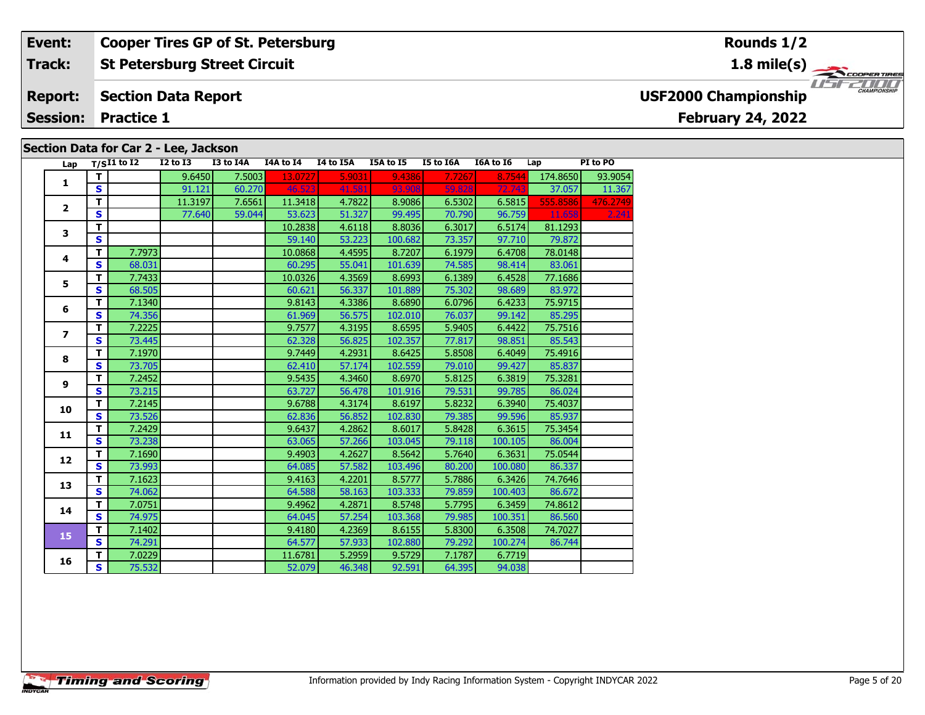#### **Event:Cooper Tires GP of St. Petersburg**

#### **St Petersburg Street Circuit Track:**

#### **Section Data Report Report:**

**Session: Practice 1**

### **Section Data for Car 2 - Lee, Jackson**

| Lap                     |                         | $T/SI1$ to I2 | $I2$ to $I3$ | I3 to I4A | I4A to I4 | I4 to I5A | I5A to I5 | I5 to I6A | I6A to I6 | Lap      | PI to PO |
|-------------------------|-------------------------|---------------|--------------|-----------|-----------|-----------|-----------|-----------|-----------|----------|----------|
|                         | T                       |               | 9.6450       | 7.5003    | 13.0727   | 5.9031    | 9.4386    | 7.7267    | 8.7544    | 174.8650 | 93.9054  |
| 1                       | S                       |               | 91.121       | 60.270    | 46.523    | 41.581    | 93.908    | 59.828    | 72.743    | 37.057   | 11.367   |
|                         | T.                      |               | 11.3197      | 7.6561    | 11.3418   | 4.7822    | 8.9086    | 6.5302    | 6.5815    | 555.8586 | 476.2749 |
| $\overline{\mathbf{2}}$ | S                       |               | 77.640       | 59.044    | 53.623    | 51.327    | 99.495    | 70.790    | 96.759    | 11.658   | 2.241    |
| 3                       | T                       |               |              |           | 10.2838   | 4.6118    | 8.8036    | 6.3017    | 6.5174    | 81.1293  |          |
|                         | S                       |               |              |           | 59.140    | 53.223    | 100.682   | 73.357    | 97.710    | 79.872   |          |
|                         | T.                      | 7.7973        |              |           | 10.0868   | 4.4595    | 8.7207    | 6.1979    | 6.4708    | 78.0148  |          |
| 4                       | $\mathbf{s}$            | 68.031        |              |           | 60.295    | 55.041    | 101.639   | 74.585    | 98.414    | 83.061   |          |
|                         | т                       | 7.7433        |              |           | 10.0326   | 4.3569    | 8.6993    | 6.1389    | 6.4528    | 77.1686  |          |
| 5                       | S                       | 68.505        |              |           | 60.621    | 56.337    | 101.889   | 75.302    | 98.689    | 83.972   |          |
|                         | T                       | 7.1340        |              |           | 9.8143    | 4.3386    | 8.6890    | 6.0796    | 6.4233    | 75.9715  |          |
| 6                       | $\mathbf{s}$            | 74.356        |              |           | 61.969    | 56.575    | 102.010   | 76.037    | 99.142    | 85.295   |          |
|                         | T                       | 7.2225        |              |           | 9.7577    | 4.3195    | 8.6595    | 5.9405    | 6.4422    | 75.7516  |          |
| $\overline{ }$          | $\mathbf{s}$            | 73.445        |              |           | 62.328    | 56.825    | 102.357   | 77.817    | 98.851    | 85.543   |          |
|                         | T                       | 7.1970        |              |           | 9.7449    | 4.2931    | 8.6425    | 5.8508    | 6.4049    | 75.4916  |          |
| 8                       | $\mathbf{s}$            | 73.705        |              |           | 62.410    | 57.174    | 102.559   | 79.010    | 99.427    | 85.837   |          |
|                         | T                       | 7.2452        |              |           | 9.5435    | 4.3460    | 8.6970    | 5.8125    | 6.3819    | 75.3281  |          |
| 9                       | S                       | 73.215        |              |           | 63.727    | 56.478    | 101.916   | 79.531    | 99.785    | 86.024   |          |
| 10                      | т                       | 7.2145        |              |           | 9.6788    | 4.3174    | 8.6197    | 5.8232    | 6.3940    | 75.4037  |          |
|                         | $\mathbf{s}$            | 73.526        |              |           | 62.836    | 56.852    | 102.830   | 79.385    | 99.596    | 85.937   |          |
| 11                      | T                       | 7.2429        |              |           | 9.6437    | 4.2862    | 8.6017    | 5.8428    | 6.3615    | 75.3454  |          |
|                         | $\mathbf{s}$            | 73.238        |              |           | 63.065    | 57.266    | 103.045   | 79.118    | 100.105   | 86.004   |          |
|                         | т                       | 7.1690        |              |           | 9.4903    | 4.2627    | 8.5642    | 5.7640    | 6.3631    | 75.0544  |          |
| 12                      | $\mathbf{s}$            | 73.993        |              |           | 64.085    | 57.582    | 103.496   | 80.200    | 100.080   | 86.337   |          |
| 13                      | T                       | 7.1623        |              |           | 9.4163    | 4.2201    | 8.5777    | 5.7886    | 6.3426    | 74.7646  |          |
|                         | $\overline{\mathbf{s}}$ | 74.062        |              |           | 64.588    | 58.163    | 103.333   | 79.859    | 100.403   | 86.672   |          |
| 14                      | T                       | 7.0751        |              |           | 9.4962    | 4.2871    | 8.5748    | 5.7795    | 6.3459    | 74.8612  |          |
|                         | $\mathbf{s}$            | 74.975        |              |           | 64.045    | 57.254    | 103.368   | 79.985    | 100.351   | 86.560   |          |
| 15                      | T                       | 7.1402        |              |           | 9.4180    | 4.2369    | 8.6155    | 5.8300    | 6.3508    | 74.7027  |          |
|                         | S                       | 74.291        |              |           | 64.577    | 57.933    | 102.880   | 79.292    | 100.274   | 86.744   |          |
| 16                      | т                       | 7.0229        |              |           | 11.6781   | 5.2959    | 9.5729    | 7.1787    | 6.7719    |          |          |
|                         | S                       | 75.532        |              |           | 52.079    | 46.348    | 92.591    | 64.395    | 94.038    |          |          |

### **Rounds 1/2**

**1.8 mile(s)**



**USF2000 Championship**

**February 24, 2022**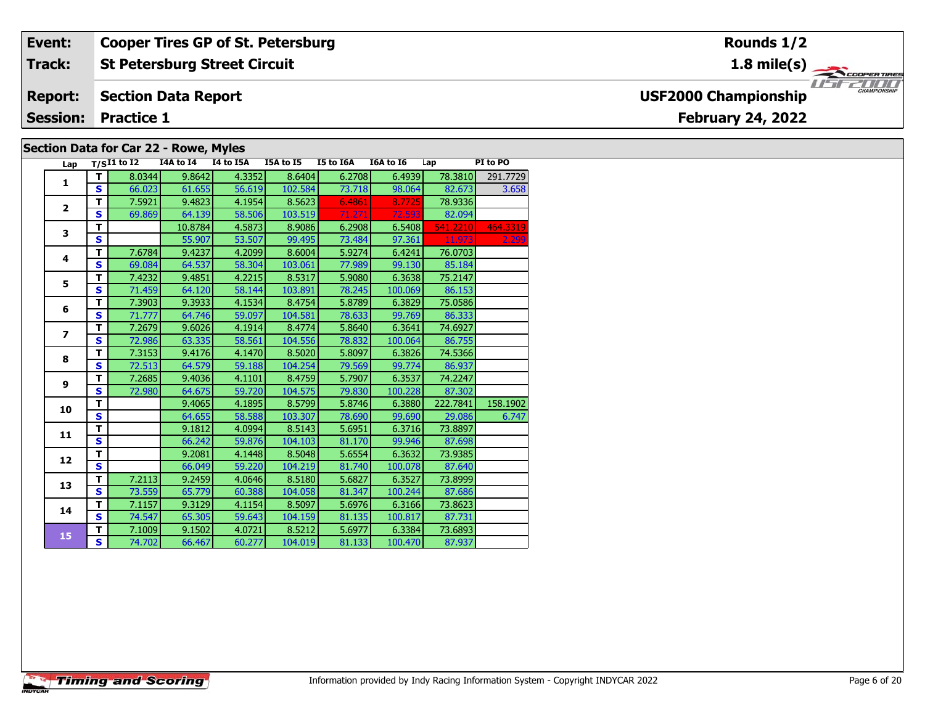#### **Event: Cooper Tires GP of St. Petersburg Rounds 1/2St Petersburg Street Circuit 1.8 mile(s) Track:** THE PROPERTIRES **Report: Section Data Report USF2000 Championship February 24, 2022 Session: Practice 1 Section Data for Car 22 - Rowe, Myles**

| Lap                     |                         | $T/SI1$ to I2 | I4A to I4 | I4 to I5A | I5A to I5 | I5 to I6A | I6A to I6 | Lap      | PI to PO |
|-------------------------|-------------------------|---------------|-----------|-----------|-----------|-----------|-----------|----------|----------|
| 1                       | T.                      | 8.0344        | 9.8642    | 4.3352    | 8.6404    | 6.2708    | 6.4939    | 78.3810  | 291.7729 |
|                         | S                       | 66.023        | 61.655    | 56.619    | 102.584   | 73.718    | 98.064    | 82.673   | 3.658    |
| $\mathbf{2}$            | T.                      | 7.5921        | 9.4823    | 4.1954    | 8.5623    | 6.4861    | 8.7725    | 78.9336  |          |
|                         | S                       | 69.869        | 64.139    | 58.506    | 103.519   | 71.271    | 72.593    | 82.094   |          |
| 3                       | T                       |               | 10.8784   | 4.5873    | 8.9086    | 6.2908    | 6.5408    | 541.2210 | 464.3319 |
|                         | $\overline{\mathbf{s}}$ |               | 55.907    | 53.507    | 99.495    | 73.484    | 97.361    | 11.973   | 2.299    |
| 4                       | T.                      | 7.6784        | 9.4237    | 4.2099    | 8.6004    | 5.9274    | 6.4241    | 76.0703  |          |
|                         | S                       | 69.084        | 64.537    | 58.304    | 103.061   | 77.989    | 99.130    | 85.184   |          |
| 5                       | T.                      | 7.4232        | 9.4851    | 4.2215    | 8.5317    | 5.9080    | 6.3638    | 75.2147  |          |
|                         | S                       | 71.459        | 64.120    | 58.144    | 103.891   | 78.245    | 100.069   | 86.153   |          |
| 6                       | T                       | 7.3903        | 9.3933    | 4.1534    | 8.4754    | 5.8789    | 6.3829    | 75.0586  |          |
|                         | S                       | 71.777        | 64.746    | 59.097    | 104.581   | 78.633    | 99.769    | 86.333   |          |
| $\overline{\mathbf{z}}$ | T.                      | 7.2679        | 9.6026    | 4.1914    | 8.4774    | 5.8640    | 6.3641    | 74.6927  |          |
|                         | S                       | 72.986        | 63.335    | 58.561    | 104.556   | 78.832    | 100.064   | 86.755   |          |
| 8                       | T.                      | 7.3153        | 9.4176    | 4.1470    | 8.5020    | 5.8097    | 6.3826    | 74.5366  |          |
|                         | S                       | 72.513        | 64.579    | 59.188    | 104.254   | 79.569    | 99.774    | 86.937   |          |
| 9                       | T.                      | 7.2685        | 9.4036    | 4.1101    | 8.4759    | 5.7907    | 6.3537    | 74.2247  |          |
|                         | S                       | 72.980        | 64.675    | 59.720    | 104.575   | 79.830    | 100.228   | 87.302   |          |
| 10                      | т                       |               | 9.4065    | 4.1895    | 8.5799    | 5.8746    | 6.3880    | 222.7841 | 158.1902 |
|                         | S                       |               | 64.655    | 58.588    | 103.307   | 78.690    | 99.690    | 29.086   | 6.747    |
| 11                      | T.                      |               | 9.1812    | 4.0994    | 8.5143    | 5.6951    | 6.3716    | 73.8897  |          |
|                         | S                       |               | 66.242    | 59.876    | 104.103   | 81.170    | 99.946    | 87.698   |          |
| $12 \overline{ }$       | T                       |               | 9.2081    | 4.1448    | 8.5048    | 5.6554    | 6.3632    | 73.9385  |          |
|                         | $\overline{\mathbf{s}}$ |               | 66.049    | 59.220    | 104.219   | 81.740    | 100.078   | 87.640   |          |
| 13                      | T.                      | 7.2113        | 9.2459    | 4.0646    | 8.5180    | 5.6827    | 6.3527    | 73.8999  |          |
|                         | S                       | 73.559        | 65.779    | 60.388    | 104.058   | 81.347    | 100.244   | 87.686   |          |
| 14                      | T.                      | 7.1157        | 9.3129    | 4.1154    | 8.5097    | 5.6976    | 6.3166    | 73.8623  |          |
|                         | S                       | 74.547        | 65.305    | 59.643    | 104.159   | 81.135    | 100.817   | 87.731   |          |
| 15                      | T.                      | 7.1009        | 9.1502    | 4.0721    | 8.5212    | 5.6977    | 6.3384    | 73.6893  |          |
|                         | S.                      | 74.702        | 66.467    | 60.277    | 104.019   | 81.133    | 100.470   | 87.937   |          |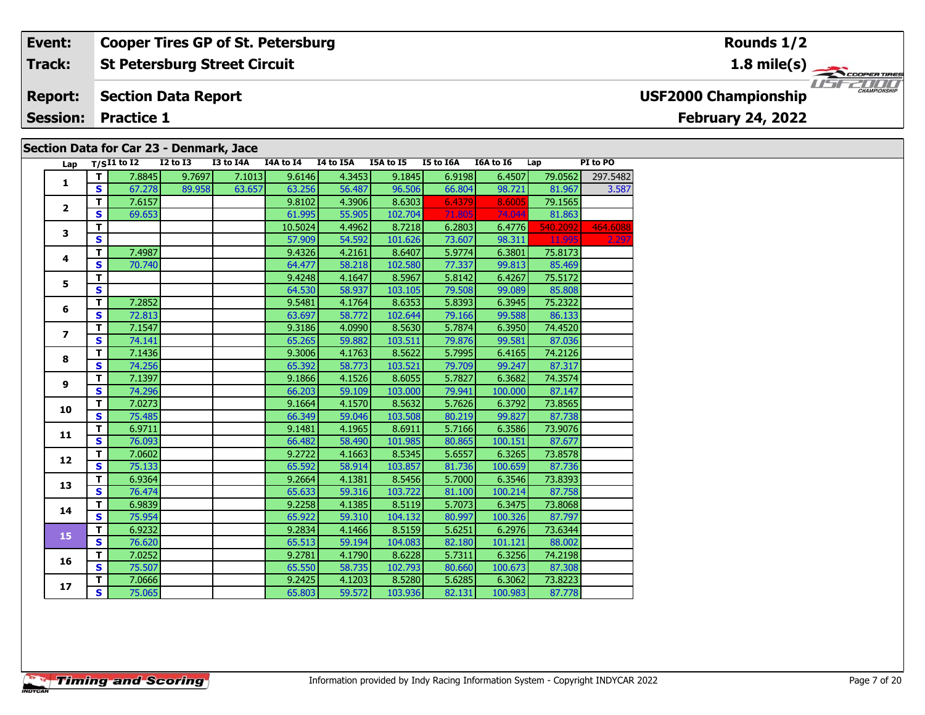#### **St Petersburg Street Circuit Event: Cooper Tires GP of St. Petersburg Track:**

#### **Section Data Report Report:**

**Session: Practice 1**

### **Section Data for Car 23 - Denmark, Jace**

| Lap            |                         | $T/SI1$ to $\overline{I2}$ | <b>I2 to I3</b> | I3 to I4A | I4A to I4 | I4 to I5A | I5A to I5 | I5 to I6A | I6A to I6 | Lap      | PI to PO |
|----------------|-------------------------|----------------------------|-----------------|-----------|-----------|-----------|-----------|-----------|-----------|----------|----------|
|                | T                       | 7.8845                     | 9.7697          | 7.1013    | 9.6146    | 4.3453    | 9.1845    | 6.9198    | 6.4507    | 79.0562  | 297.5482 |
| $\mathbf{1}$   | $\mathbf{s}$            | 67.278                     | 89.958          | 63.657    | 63.256    | 56.487    | 96.506    | 66.804    | 98.721    | 81.967   | 3.587    |
|                | $\mathbf T$             | 7.6157                     |                 |           | 9.8102    | 4.3906    | 8.6303    | 6.4379    | 8.6005    | 79.1565  |          |
| $\mathbf{2}$   | $\mathbf{s}$            | 69.653                     |                 |           | 61.995    | 55.905    | 102.704   | 71.805    | 74.044    | 81.863   |          |
|                | T                       |                            |                 |           | 10.5024   | 4.4962    | 8.7218    | 6.2803    | 6.4776    | 540.2092 | 464.6088 |
| 3              | $\mathbf{s}$            |                            |                 |           | 57.909    | 54.592    | 101.626   | 73.607    | 98.311    | 11.995   | 2.297    |
|                | T                       | 7.4987                     |                 |           | 9.4326    | 4.2161    | 8.6407    | 5.9774    | 6.3801    | 75.8173  |          |
| 4              | S                       | 70.740                     |                 |           | 64.477    | 58.218    | 102.580   | 77.337    | 99.813    | 85.469   |          |
|                | T                       |                            |                 |           | 9.4248    | 4.1647    | 8.5967    | 5.8142    | 6.4267    | 75.5172  |          |
| 5              | $\overline{\mathbf{s}}$ |                            |                 |           | 64.530    | 58.937    | 103.105   | 79.508    | 99.089    | 85.808   |          |
|                | T                       | 7.2852                     |                 |           | 9.5481    | 4.1764    | 8.6353    | 5.8393    | 6.3945    | 75.2322  |          |
| 6              | $\mathbf{s}$            | 72.813                     |                 |           | 63.697    | 58.772    | 102.644   | 79.166    | 99.588    | 86.133   |          |
|                | T                       | 7.1547                     |                 |           | 9.3186    | 4.0990    | 8.5630    | 5.7874    | 6.3950    | 74.4520  |          |
| $\overline{ }$ | $\overline{\mathbf{s}}$ | 74.141                     |                 |           | 65.265    | 59.882    | 103.511   | 79.876    | 99.581    | 87.036   |          |
|                | T                       | 7.1436                     |                 |           | 9.3006    | 4.1763    | 8.5622    | 5.7995    | 6.4165    | 74.2126  |          |
| 8              | $\mathbf{s}$            | 74.256                     |                 |           | 65.392    | 58.773    | 103.521   | 79.709    | 99.247    | 87.317   |          |
|                | T                       | 7.1397                     |                 |           | 9.1866    | 4.1526    | 8.6055    | 5.7827    | 6.3682    | 74.3574  |          |
| 9              | $\mathbf{s}$            | 74.296                     |                 |           | 66.203    | 59.109    | 103.000   | 79.941    | 100.000   | 87.147   |          |
|                | T                       | 7.0273                     |                 |           | 9.1664    | 4.1570    | 8.5632    | 5.7626    | 6.3792    | 73.8565  |          |
| 10             | $\mathbf{s}$            | 75.485                     |                 |           | 66.349    | 59.046    | 103.508   | 80.219    | 99.827    | 87.738   |          |
|                | $\overline{\mathsf{T}}$ | 6.9711                     |                 |           | 9.1481    | 4.1965    | 8.6911    | 5.7166    | 6.3586    | 73.9076  |          |
| 11             | $\overline{\mathbf{s}}$ | 76.093                     |                 |           | 66.482    | 58.490    | 101.985   | 80.865    | 100.151   | 87.677   |          |
|                | T                       | 7.0602                     |                 |           | 9.2722    | 4.1663    | 8.5345    | 5.6557    | 6.3265    | 73.8578  |          |
| 12             | $\mathbf{s}$            | 75.133                     |                 |           | 65.592    | 58.914    | 103.857   | 81.736    | 100.659   | 87.736   |          |
| 13             | T                       | 6.9364                     |                 |           | 9.2664    | 4.1381    | 8.5456    | 5.7000    | 6.3546    | 73.8393  |          |
|                | $\mathbf{s}$            | 76.474                     |                 |           | 65.633    | 59.316    | 103.722   | 81.100    | 100.214   | 87.758   |          |
| 14             | T                       | 6.9839                     |                 |           | 9.2258    | 4.1385    | 8.5119    | 5.7073    | 6.3475    | 73.8068  |          |
|                | $\mathbf{s}$            | 75.954                     |                 |           | 65.922    | 59.310    | 104.132   | 80.997    | 100.326   | 87.797   |          |
|                | $\mathbf{T}$            | 6.9232                     |                 |           | 9.2834    | 4.1466    | 8.5159    | 5.6251    | 6.2976    | 73.6344  |          |
| 15             | S                       | 76.620                     |                 |           | 65.513    | 59.194    | 104.083   | 82.180    | 101.121   | 88.002   |          |
|                | $\mathbf T$             | 7.0252                     |                 |           | 9.2781    | 4.1790    | 8.6228    | 5.7311    | 6.3256    | 74.2198  |          |
| 16             | $\mathbf{s}$            | 75.507                     |                 |           | 65.550    | 58.735    | 102.793   | 80.660    | 100.673   | 87.308   |          |
|                | T                       | 7.0666                     |                 |           | 9.2425    | 4.1203    | 8.5280    | 5.6285    | 6.3062    | 73.8223  |          |
| 17             | S                       | 75.065                     |                 |           | 65.803    | 59.572    | 103.936   | 82.131    | 100.983   | 87.778   |          |

**Rounds 1/2**

**1.8 mile(s)**



**USF2000 Championship**

## **February 24, 2022**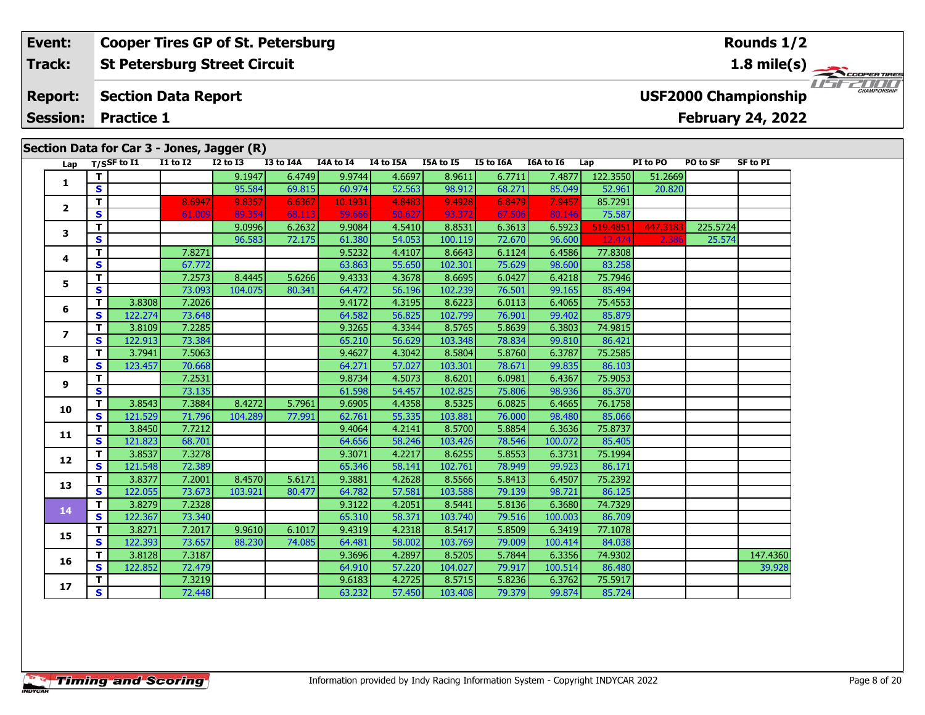### **Event:Cooper Tires GP of St. Petersburg**

**St Petersburg Street Circuit Track:**

#### **Section Data Report Report:**

**Session: Practice 1**

# **Section Data for Car 3 - Jones, Jagger (R)**

**1.8 mile(s)**



**USF2000 Championship**

## **February 24, 2022**

**Rounds 1/2**

|                         |                         | Lap $T/SSF$ to $\overline{11}$ | I1 to I2 | I2 to I3 | I3 to I4A | I4A to I4 | I4 to I5A | I5A to I5 | <b>I5 to I6A</b> | I6A to I6 | Lap      | PI to PO | PO to SF | SF to PI |
|-------------------------|-------------------------|--------------------------------|----------|----------|-----------|-----------|-----------|-----------|------------------|-----------|----------|----------|----------|----------|
| 1                       | T.                      |                                |          | 9.1947   | 6.4749    | 9.9744    | 4.6697    | 8.9611    | 6.7711           | 7.4877    | 122.3550 | 51.2669  |          |          |
|                         | $\mathbf{s}$            |                                |          | 95.584   | 69.815    | 60.974    | 52.563    | 98.912    | 68.271           | 85.049    | 52.961   | 20.820   |          |          |
|                         | T                       |                                | 8.6947   | 9.8357   | 6.6367    | 10.1931   | 4.8483    | 9.4928    | 6.8479           | 7.9457    | 85.7291  |          |          |          |
| $\mathbf{2}$            | $\mathbf{s}$            |                                | 61.009   | 89.354   | 68.113    | 59.666    | 50.627    | 93.372    | 67.50            | 80.146    | 75.587   |          |          |          |
| 3                       | $\overline{\mathsf{r}}$ |                                |          | 9.0996   | 6.2632    | 9.9084    | 4.5410    | 8.8531    | 6.3613           | 6.5923    | 519.4851 | 447.3183 | 225.5724 |          |
|                         | $\mathbf{s}$            |                                |          | 96.583   | 72.175    | 61.380    | 54.053    | 100.119   | 72.670           | 96.600    | 12.474   | 2.386    | 25.574   |          |
| 4                       | т                       |                                | 7.8271   |          |           | 9.5232    | 4.4107    | 8.6643    | 6.1124           | 6.4586    | 77.8308  |          |          |          |
|                         | S                       |                                | 67.772   |          |           | 63.863    | 55.650    | 102.301   | 75.629           | 98.600    | 83.258   |          |          |          |
| 5                       | T                       |                                | 7.2573   | 8.4445   | 5.6266    | 9.4333    | 4.3678    | 8.6695    | 6.0427           | 6.4218    | 75.7946  |          |          |          |
|                         | $\mathbf{s}$            |                                | 73.093   | 104.075  | 80.341    | 64.472    | 56.196    | 102.239   | 76.501           | 99.165    | 85.494   |          |          |          |
| 6                       | T.                      | 3.8308                         | 7.2026   |          |           | 9.4172    | 4.3195    | 8.6223    | 6.0113           | 6.4065    | 75.4553  |          |          |          |
|                         | $\mathbf{s}$            | 122.274                        | 73.648   |          |           | 64.582    | 56.825    | 102.799   | 76.901           | 99.402    | 85.879   |          |          |          |
| $\overline{\mathbf{z}}$ | T.                      | 3.8109                         | 7.2285   |          |           | 9.3265    | 4.3344    | 8.5765    | 5.8639           | 6.3803    | 74.9815  |          |          |          |
|                         | S                       | 122.913                        | 73.384   |          |           | 65.210    | 56.629    | 103.348   | 78.834           | 99.810    | 86.421   |          |          |          |
| 8                       | T.                      | 3.7941                         | 7.5063   |          |           | 9.4627    | 4.3042    | 8.5804    | 5.8760           | 6.3787    | 75.2585  |          |          |          |
|                         | S                       | 123.457                        | 70.668   |          |           | 64.271    | 57.027    | 103.301   | 78.671           | 99.835    | 86.103   |          |          |          |
| 9                       | T                       |                                | 7.2531   |          |           | 9.8734    | 4.5073    | 8.6201    | 6.0981           | 6.4367    | 75.9053  |          |          |          |
|                         | $\mathbf{s}$            |                                | 73.135   |          |           | 61.598    | 54.457    | 102.825   | 75.806           | 98.936    | 85.370   |          |          |          |
| 10                      | T.                      | 3.8543                         | 7.3884   | 8.4272   | 5.7961    | 9.6905    | 4.4358    | 8.5325    | 6.0825           | 6.4665    | 76.1758  |          |          |          |
|                         | S                       | 121.529                        | 71.796   | 104.289  | 77.991    | 62.761    | 55.335    | 103.881   | 76.000           | 98.480    | 85.066   |          |          |          |
| 11                      | T.                      | 3.8450                         | 7.7212   |          |           | 9.4064    | 4.2141    | 8.5700    | 5.8854           | 6.3636    | 75.8737  |          |          |          |
|                         | $\mathbf{s}$            | 121.823                        | 68.701   |          |           | 64.656    | 58.246    | 103.426   | 78.546           | 100.072   | 85.405   |          |          |          |
| 12                      | T.                      | 3.8537                         | 7.3278   |          |           | 9.3071    | 4.2217    | 8.6255    | 5.8553           | 6.3731    | 75.1994  |          |          |          |
|                         | $\mathbf{s}$            | 121.548                        | 72.389   |          |           | 65.346    | 58.141    | 102.761   | 78.949           | 99.923    | 86.171   |          |          |          |
| 13                      | T.                      | 3.8377                         | 7.2001   | 8.4570   | 5.6171    | 9.3881    | 4.2628    | 8.5566    | 5.8413           | 6.4507    | 75.2392  |          |          |          |
|                         | $\mathbf{s}$            | 122.055                        | 73.673   | 103.921  | 80.477    | 64.782    | 57.581    | 103.588   | 79.139           | 98.721    | 86.125   |          |          |          |
| 14                      | T                       | 3.8279                         | 7.2328   |          |           | 9.3122    | 4.2051    | 8.5441    | 5.8136           | 6.3680    | 74.7329  |          |          |          |
|                         | S                       | 122.367                        | 73.340   |          |           | 65.310    | 58.371    | 103.740   | 79.516           | 100.003   | 86.709   |          |          |          |
| 15                      | T.                      | 3.8271                         | 7.2017   | 9.9610   | 6.1017    | 9.4319    | 4.2318    | 8.5417    | 5.8509           | 6.3419    | 77.1078  |          |          |          |
|                         | <b>S</b>                | 122.393                        | 73.657   | 88.230   | 74.085    | 64.481    | 58.002    | 103.769   | 79.009           | 100.414   | 84.038   |          |          |          |
| 16                      | T.                      | 3.8128                         | 7.3187   |          |           | 9.3696    | 4.2897    | 8.5205    | 5.7844           | 6.3356    | 74.9302  |          |          | 147.4360 |
|                         | S                       | 122.852                        | 72.479   |          |           | 64.910    | 57.220    | 104.027   | 79.917           | 100.514   | 86.480   |          |          | 39.928   |
| 17                      | T.                      |                                | 7.3219   |          |           | 9.6183    | 4.2725    | 8.5715    | 5.8236           | 6.3762    | 75.5917  |          |          |          |
|                         | $\overline{\mathbf{s}}$ |                                | 72.448   |          |           | 63.232    | 57.450    | 103.408   | 79.379           | 99.874    | 85.724   |          |          |          |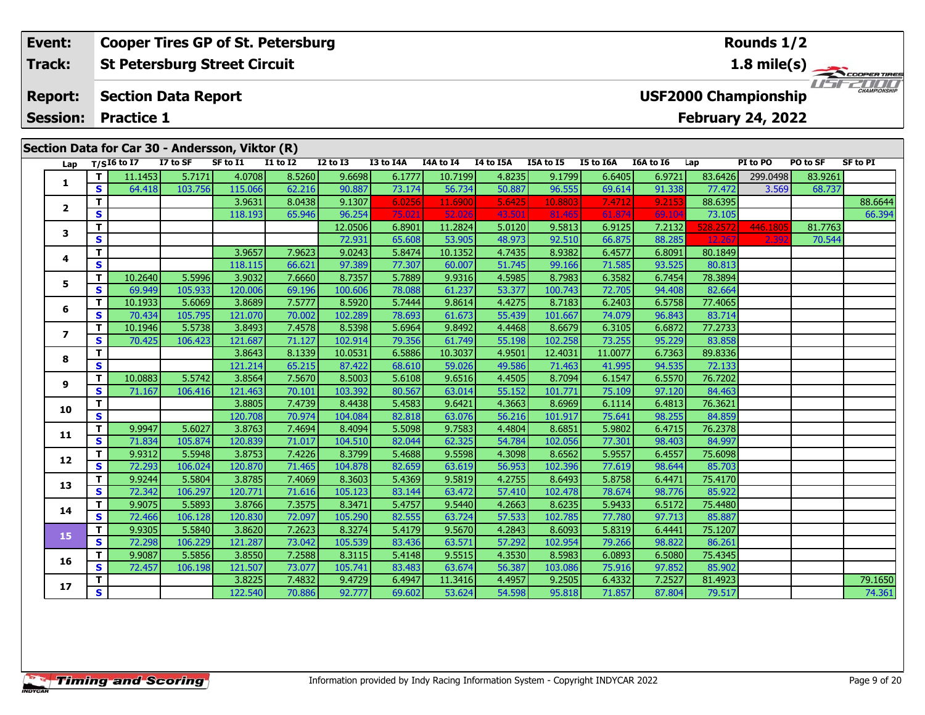#### **Event: Cooper Tires GP of St. Petersburg Rounds 1/2St Petersburg Street Circuit 1.8 mile(s) Track:** THE COOPERTIRES **Report: Section Data Report USF2000 Championship February 24, 2022 Session: Practice 1**

| $T/SI6$ to I7<br>I7 to SF<br>SF to I1<br><b>I1 to I2</b><br>$I2$ to $I3$<br>I3 to I4A<br>I4A to I4<br>I4 to I5A<br>I5A to I5<br>I5 to I6A<br>I6A to I6<br>PI to PO<br>Lap<br>Lap<br>4.0708<br>8.5260<br>11.1453<br>5.7171<br>9.6698<br>6.1777<br>10.7199<br>4.8235<br>9.1799<br>83.6426<br>299.0498<br>6.6405<br>6.9721<br>$\mathbf T$<br>1<br>$\mathbf{s}$<br>90.887<br>73.174<br>50.887<br>64.418<br>103.756<br>115.066<br>62.216<br>56.734<br>96.555<br>91.338<br>77.472<br>3.569<br>69.614<br>T<br>3.9631<br>9.2153<br>88.6395<br>8.0438<br>9.1307<br>6.0256<br>11.6900<br>5.6425<br>10.8803<br>7.4712<br>$\mathbf{2}$<br>S<br>96.254<br>75.02<br>73.105<br>65.946<br>52.0<br>43.50<br>61.874<br>69.10<br>118.193<br>81.465<br>7.2132<br>T<br>6.8901<br>11.2824<br>5.0120<br>9.5813<br>6.9125<br>528.2572<br>446.1805<br>12.0506<br>3<br>S<br>53.905<br>72.931<br>65.608<br>48.973<br>92.510<br>66.875<br>88.285<br>12.267<br>2.39<br>4.7435<br>6.8091<br>T<br>3.9657<br>7.9623<br>9.0243<br>5.8474<br>10.1352<br>8.9382<br>6.4577<br>80.1849<br>4<br>S<br>66.621<br>77.307<br>93.525<br>118.115<br>97.389<br>60.007<br>51.745<br>99.166<br>71.585<br>80.813<br>5.5996<br>3.9032<br>7.6660<br>5.7889<br>9.9316<br>4.5985<br>8.7983<br>6.3582<br>6.7454<br>78.3894<br>10.2640<br>8.7357<br>т<br>5.<br>S<br>53.377<br>82.664<br>105.933<br>120.006<br>69.196<br>100.606<br>78.088<br>61.237<br>72.705<br>94.408<br>69.949<br>100.743<br>3.8689<br>7.5777<br>9.8614<br>6.5758<br>Т<br>10.1933<br>5.6069<br>8.5920<br>5.7444<br>4.4275<br>8.7183<br>6.2403<br>77.4065<br>6<br>S<br>70.002<br>55.439<br>96.843<br>83.714<br>70.434<br>105.795<br>121.070<br>102.289<br>78.693<br>61.673<br>101.667<br>74.079<br>5.5738<br>3.8493<br>9.8492<br>6.6872<br>77.2733<br>Т<br>10.1946<br>7.4578<br>8.5398<br>5.6964<br>4.4468<br>8.6679<br>6.3105<br>7<br>$\mathbf{s}$<br>55.198<br>73.255<br>95.229<br>83.858<br>70.425<br>106.423<br>121.687<br>71.127<br>102.914<br>79.356<br>61.749<br>102.258<br>3.8643<br>10.3037<br>89.8336<br>T<br>8.1339<br>10.0531<br>6.5886<br>4.9501<br>12.4031<br>11.0077<br>6.7363<br>8<br>S<br>121.214<br>65.215<br>68.610<br>59.026<br>49.586<br>94.535<br>72.133<br>87.422<br>71.463<br>41.995<br>10.0883<br>5.5742<br>3.8564<br>9.6516<br>6.5570<br>$\mathbf{T}$<br>7.5670<br>8.5003<br>5.6108<br>4.4505<br>8.7094<br>6.1547<br>76.7202<br>9<br>$\mathbf{s}$<br>121.463<br>70.101<br>103.392<br>80.567<br>63.014<br>55.152<br>75.109<br>97.120<br>84.463<br>71.167<br>106.416<br>101.771<br>3.8805<br>5.4583<br>9.6421<br>6.4813<br>76.3621<br>T<br>7.4739<br>8.4438<br>4.3663<br>8.6969<br>6.1114<br>10<br>S<br>70.974<br>63.076<br>56.216<br>98.255<br>84.859<br>120.708<br>104.084<br>82.818<br>101.917<br>75.641<br>Т<br>9.7583<br>76.2378<br>9.9947<br>5.6027<br>3.8763<br>7.4694<br>5.5098<br>6.4715<br>8.4094<br>4.4804<br>8.6851<br>5.9802<br>11<br>$\mathbf{s}$<br>120.839<br>71.017<br>62.325<br>54.784<br>84.997<br>71.834<br>105.874<br>104.510<br>82.044<br>102.056<br>77.301<br>98.403<br>9.5598<br>75.6098<br>T<br>5.5948<br>3.8753<br>7.4226<br>8.3799<br>5.4688<br>4.3098<br>6.4557<br>9.9312<br>8.6562<br>5.9557<br>12<br>$\mathbf{s}$<br>120.870<br>71.465<br>63.619<br>56.953<br>98.644<br>85.703<br>72.293<br>106.024<br>104.878<br>82.659<br>102.396<br>77.619<br>T<br>3.8785<br>7.4069<br>5.4369<br>9.5819<br>4.2755<br>6.4471<br>75.4170<br>9.9244<br>5.5804<br>8.3603<br>8.6493<br>5.8758<br>13<br>71.616<br>S<br>106.297<br>120.771<br>63.472<br>57.410<br>98.776<br>85.922<br>72.342<br>105.123<br>83.144<br>102.478<br>78.674 | Section Data for Car 30 - Andersson, Viktor (R) |          |  |  |  |  |  |  |  |  |  |  |  |  |  |
|--------------------------------------------------------------------------------------------------------------------------------------------------------------------------------------------------------------------------------------------------------------------------------------------------------------------------------------------------------------------------------------------------------------------------------------------------------------------------------------------------------------------------------------------------------------------------------------------------------------------------------------------------------------------------------------------------------------------------------------------------------------------------------------------------------------------------------------------------------------------------------------------------------------------------------------------------------------------------------------------------------------------------------------------------------------------------------------------------------------------------------------------------------------------------------------------------------------------------------------------------------------------------------------------------------------------------------------------------------------------------------------------------------------------------------------------------------------------------------------------------------------------------------------------------------------------------------------------------------------------------------------------------------------------------------------------------------------------------------------------------------------------------------------------------------------------------------------------------------------------------------------------------------------------------------------------------------------------------------------------------------------------------------------------------------------------------------------------------------------------------------------------------------------------------------------------------------------------------------------------------------------------------------------------------------------------------------------------------------------------------------------------------------------------------------------------------------------------------------------------------------------------------------------------------------------------------------------------------------------------------------------------------------------------------------------------------------------------------------------------------------------------------------------------------------------------------------------------------------------------------------------------------------------------------------------------------------------------------------------------------------------------------------------------------------------------------------------------------------------------------------------------------------------------------------------------------------------------------------------------------------------------------------------------------------------------------------------------------------------------------------------------------------------------------------------------------------------------------------------------------------------------------------------------------------------------------------------|-------------------------------------------------|----------|--|--|--|--|--|--|--|--|--|--|--|--|--|
|                                                                                                                                                                                                                                                                                                                                                                                                                                                                                                                                                                                                                                                                                                                                                                                                                                                                                                                                                                                                                                                                                                                                                                                                                                                                                                                                                                                                                                                                                                                                                                                                                                                                                                                                                                                                                                                                                                                                                                                                                                                                                                                                                                                                                                                                                                                                                                                                                                                                                                                                                                                                                                                                                                                                                                                                                                                                                                                                                                                                                                                                                                                                                                                                                                                                                                                                                                                                                                                                                                                                                                                      | <b>SF to PI</b>                                 | PO to SF |  |  |  |  |  |  |  |  |  |  |  |  |  |
|                                                                                                                                                                                                                                                                                                                                                                                                                                                                                                                                                                                                                                                                                                                                                                                                                                                                                                                                                                                                                                                                                                                                                                                                                                                                                                                                                                                                                                                                                                                                                                                                                                                                                                                                                                                                                                                                                                                                                                                                                                                                                                                                                                                                                                                                                                                                                                                                                                                                                                                                                                                                                                                                                                                                                                                                                                                                                                                                                                                                                                                                                                                                                                                                                                                                                                                                                                                                                                                                                                                                                                                      |                                                 | 83.9261  |  |  |  |  |  |  |  |  |  |  |  |  |  |
|                                                                                                                                                                                                                                                                                                                                                                                                                                                                                                                                                                                                                                                                                                                                                                                                                                                                                                                                                                                                                                                                                                                                                                                                                                                                                                                                                                                                                                                                                                                                                                                                                                                                                                                                                                                                                                                                                                                                                                                                                                                                                                                                                                                                                                                                                                                                                                                                                                                                                                                                                                                                                                                                                                                                                                                                                                                                                                                                                                                                                                                                                                                                                                                                                                                                                                                                                                                                                                                                                                                                                                                      |                                                 | 68.737   |  |  |  |  |  |  |  |  |  |  |  |  |  |
|                                                                                                                                                                                                                                                                                                                                                                                                                                                                                                                                                                                                                                                                                                                                                                                                                                                                                                                                                                                                                                                                                                                                                                                                                                                                                                                                                                                                                                                                                                                                                                                                                                                                                                                                                                                                                                                                                                                                                                                                                                                                                                                                                                                                                                                                                                                                                                                                                                                                                                                                                                                                                                                                                                                                                                                                                                                                                                                                                                                                                                                                                                                                                                                                                                                                                                                                                                                                                                                                                                                                                                                      | 88.6644                                         |          |  |  |  |  |  |  |  |  |  |  |  |  |  |
|                                                                                                                                                                                                                                                                                                                                                                                                                                                                                                                                                                                                                                                                                                                                                                                                                                                                                                                                                                                                                                                                                                                                                                                                                                                                                                                                                                                                                                                                                                                                                                                                                                                                                                                                                                                                                                                                                                                                                                                                                                                                                                                                                                                                                                                                                                                                                                                                                                                                                                                                                                                                                                                                                                                                                                                                                                                                                                                                                                                                                                                                                                                                                                                                                                                                                                                                                                                                                                                                                                                                                                                      | 66.394                                          |          |  |  |  |  |  |  |  |  |  |  |  |  |  |
|                                                                                                                                                                                                                                                                                                                                                                                                                                                                                                                                                                                                                                                                                                                                                                                                                                                                                                                                                                                                                                                                                                                                                                                                                                                                                                                                                                                                                                                                                                                                                                                                                                                                                                                                                                                                                                                                                                                                                                                                                                                                                                                                                                                                                                                                                                                                                                                                                                                                                                                                                                                                                                                                                                                                                                                                                                                                                                                                                                                                                                                                                                                                                                                                                                                                                                                                                                                                                                                                                                                                                                                      |                                                 | 81.7763  |  |  |  |  |  |  |  |  |  |  |  |  |  |
|                                                                                                                                                                                                                                                                                                                                                                                                                                                                                                                                                                                                                                                                                                                                                                                                                                                                                                                                                                                                                                                                                                                                                                                                                                                                                                                                                                                                                                                                                                                                                                                                                                                                                                                                                                                                                                                                                                                                                                                                                                                                                                                                                                                                                                                                                                                                                                                                                                                                                                                                                                                                                                                                                                                                                                                                                                                                                                                                                                                                                                                                                                                                                                                                                                                                                                                                                                                                                                                                                                                                                                                      |                                                 | 70.544   |  |  |  |  |  |  |  |  |  |  |  |  |  |
|                                                                                                                                                                                                                                                                                                                                                                                                                                                                                                                                                                                                                                                                                                                                                                                                                                                                                                                                                                                                                                                                                                                                                                                                                                                                                                                                                                                                                                                                                                                                                                                                                                                                                                                                                                                                                                                                                                                                                                                                                                                                                                                                                                                                                                                                                                                                                                                                                                                                                                                                                                                                                                                                                                                                                                                                                                                                                                                                                                                                                                                                                                                                                                                                                                                                                                                                                                                                                                                                                                                                                                                      |                                                 |          |  |  |  |  |  |  |  |  |  |  |  |  |  |
|                                                                                                                                                                                                                                                                                                                                                                                                                                                                                                                                                                                                                                                                                                                                                                                                                                                                                                                                                                                                                                                                                                                                                                                                                                                                                                                                                                                                                                                                                                                                                                                                                                                                                                                                                                                                                                                                                                                                                                                                                                                                                                                                                                                                                                                                                                                                                                                                                                                                                                                                                                                                                                                                                                                                                                                                                                                                                                                                                                                                                                                                                                                                                                                                                                                                                                                                                                                                                                                                                                                                                                                      |                                                 |          |  |  |  |  |  |  |  |  |  |  |  |  |  |
|                                                                                                                                                                                                                                                                                                                                                                                                                                                                                                                                                                                                                                                                                                                                                                                                                                                                                                                                                                                                                                                                                                                                                                                                                                                                                                                                                                                                                                                                                                                                                                                                                                                                                                                                                                                                                                                                                                                                                                                                                                                                                                                                                                                                                                                                                                                                                                                                                                                                                                                                                                                                                                                                                                                                                                                                                                                                                                                                                                                                                                                                                                                                                                                                                                                                                                                                                                                                                                                                                                                                                                                      |                                                 |          |  |  |  |  |  |  |  |  |  |  |  |  |  |
|                                                                                                                                                                                                                                                                                                                                                                                                                                                                                                                                                                                                                                                                                                                                                                                                                                                                                                                                                                                                                                                                                                                                                                                                                                                                                                                                                                                                                                                                                                                                                                                                                                                                                                                                                                                                                                                                                                                                                                                                                                                                                                                                                                                                                                                                                                                                                                                                                                                                                                                                                                                                                                                                                                                                                                                                                                                                                                                                                                                                                                                                                                                                                                                                                                                                                                                                                                                                                                                                                                                                                                                      |                                                 |          |  |  |  |  |  |  |  |  |  |  |  |  |  |
|                                                                                                                                                                                                                                                                                                                                                                                                                                                                                                                                                                                                                                                                                                                                                                                                                                                                                                                                                                                                                                                                                                                                                                                                                                                                                                                                                                                                                                                                                                                                                                                                                                                                                                                                                                                                                                                                                                                                                                                                                                                                                                                                                                                                                                                                                                                                                                                                                                                                                                                                                                                                                                                                                                                                                                                                                                                                                                                                                                                                                                                                                                                                                                                                                                                                                                                                                                                                                                                                                                                                                                                      |                                                 |          |  |  |  |  |  |  |  |  |  |  |  |  |  |
|                                                                                                                                                                                                                                                                                                                                                                                                                                                                                                                                                                                                                                                                                                                                                                                                                                                                                                                                                                                                                                                                                                                                                                                                                                                                                                                                                                                                                                                                                                                                                                                                                                                                                                                                                                                                                                                                                                                                                                                                                                                                                                                                                                                                                                                                                                                                                                                                                                                                                                                                                                                                                                                                                                                                                                                                                                                                                                                                                                                                                                                                                                                                                                                                                                                                                                                                                                                                                                                                                                                                                                                      |                                                 |          |  |  |  |  |  |  |  |  |  |  |  |  |  |
|                                                                                                                                                                                                                                                                                                                                                                                                                                                                                                                                                                                                                                                                                                                                                                                                                                                                                                                                                                                                                                                                                                                                                                                                                                                                                                                                                                                                                                                                                                                                                                                                                                                                                                                                                                                                                                                                                                                                                                                                                                                                                                                                                                                                                                                                                                                                                                                                                                                                                                                                                                                                                                                                                                                                                                                                                                                                                                                                                                                                                                                                                                                                                                                                                                                                                                                                                                                                                                                                                                                                                                                      |                                                 |          |  |  |  |  |  |  |  |  |  |  |  |  |  |
|                                                                                                                                                                                                                                                                                                                                                                                                                                                                                                                                                                                                                                                                                                                                                                                                                                                                                                                                                                                                                                                                                                                                                                                                                                                                                                                                                                                                                                                                                                                                                                                                                                                                                                                                                                                                                                                                                                                                                                                                                                                                                                                                                                                                                                                                                                                                                                                                                                                                                                                                                                                                                                                                                                                                                                                                                                                                                                                                                                                                                                                                                                                                                                                                                                                                                                                                                                                                                                                                                                                                                                                      |                                                 |          |  |  |  |  |  |  |  |  |  |  |  |  |  |
|                                                                                                                                                                                                                                                                                                                                                                                                                                                                                                                                                                                                                                                                                                                                                                                                                                                                                                                                                                                                                                                                                                                                                                                                                                                                                                                                                                                                                                                                                                                                                                                                                                                                                                                                                                                                                                                                                                                                                                                                                                                                                                                                                                                                                                                                                                                                                                                                                                                                                                                                                                                                                                                                                                                                                                                                                                                                                                                                                                                                                                                                                                                                                                                                                                                                                                                                                                                                                                                                                                                                                                                      |                                                 |          |  |  |  |  |  |  |  |  |  |  |  |  |  |
|                                                                                                                                                                                                                                                                                                                                                                                                                                                                                                                                                                                                                                                                                                                                                                                                                                                                                                                                                                                                                                                                                                                                                                                                                                                                                                                                                                                                                                                                                                                                                                                                                                                                                                                                                                                                                                                                                                                                                                                                                                                                                                                                                                                                                                                                                                                                                                                                                                                                                                                                                                                                                                                                                                                                                                                                                                                                                                                                                                                                                                                                                                                                                                                                                                                                                                                                                                                                                                                                                                                                                                                      |                                                 |          |  |  |  |  |  |  |  |  |  |  |  |  |  |
|                                                                                                                                                                                                                                                                                                                                                                                                                                                                                                                                                                                                                                                                                                                                                                                                                                                                                                                                                                                                                                                                                                                                                                                                                                                                                                                                                                                                                                                                                                                                                                                                                                                                                                                                                                                                                                                                                                                                                                                                                                                                                                                                                                                                                                                                                                                                                                                                                                                                                                                                                                                                                                                                                                                                                                                                                                                                                                                                                                                                                                                                                                                                                                                                                                                                                                                                                                                                                                                                                                                                                                                      |                                                 |          |  |  |  |  |  |  |  |  |  |  |  |  |  |
|                                                                                                                                                                                                                                                                                                                                                                                                                                                                                                                                                                                                                                                                                                                                                                                                                                                                                                                                                                                                                                                                                                                                                                                                                                                                                                                                                                                                                                                                                                                                                                                                                                                                                                                                                                                                                                                                                                                                                                                                                                                                                                                                                                                                                                                                                                                                                                                                                                                                                                                                                                                                                                                                                                                                                                                                                                                                                                                                                                                                                                                                                                                                                                                                                                                                                                                                                                                                                                                                                                                                                                                      |                                                 |          |  |  |  |  |  |  |  |  |  |  |  |  |  |
|                                                                                                                                                                                                                                                                                                                                                                                                                                                                                                                                                                                                                                                                                                                                                                                                                                                                                                                                                                                                                                                                                                                                                                                                                                                                                                                                                                                                                                                                                                                                                                                                                                                                                                                                                                                                                                                                                                                                                                                                                                                                                                                                                                                                                                                                                                                                                                                                                                                                                                                                                                                                                                                                                                                                                                                                                                                                                                                                                                                                                                                                                                                                                                                                                                                                                                                                                                                                                                                                                                                                                                                      |                                                 |          |  |  |  |  |  |  |  |  |  |  |  |  |  |
|                                                                                                                                                                                                                                                                                                                                                                                                                                                                                                                                                                                                                                                                                                                                                                                                                                                                                                                                                                                                                                                                                                                                                                                                                                                                                                                                                                                                                                                                                                                                                                                                                                                                                                                                                                                                                                                                                                                                                                                                                                                                                                                                                                                                                                                                                                                                                                                                                                                                                                                                                                                                                                                                                                                                                                                                                                                                                                                                                                                                                                                                                                                                                                                                                                                                                                                                                                                                                                                                                                                                                                                      |                                                 |          |  |  |  |  |  |  |  |  |  |  |  |  |  |
|                                                                                                                                                                                                                                                                                                                                                                                                                                                                                                                                                                                                                                                                                                                                                                                                                                                                                                                                                                                                                                                                                                                                                                                                                                                                                                                                                                                                                                                                                                                                                                                                                                                                                                                                                                                                                                                                                                                                                                                                                                                                                                                                                                                                                                                                                                                                                                                                                                                                                                                                                                                                                                                                                                                                                                                                                                                                                                                                                                                                                                                                                                                                                                                                                                                                                                                                                                                                                                                                                                                                                                                      |                                                 |          |  |  |  |  |  |  |  |  |  |  |  |  |  |
|                                                                                                                                                                                                                                                                                                                                                                                                                                                                                                                                                                                                                                                                                                                                                                                                                                                                                                                                                                                                                                                                                                                                                                                                                                                                                                                                                                                                                                                                                                                                                                                                                                                                                                                                                                                                                                                                                                                                                                                                                                                                                                                                                                                                                                                                                                                                                                                                                                                                                                                                                                                                                                                                                                                                                                                                                                                                                                                                                                                                                                                                                                                                                                                                                                                                                                                                                                                                                                                                                                                                                                                      |                                                 |          |  |  |  |  |  |  |  |  |  |  |  |  |  |
|                                                                                                                                                                                                                                                                                                                                                                                                                                                                                                                                                                                                                                                                                                                                                                                                                                                                                                                                                                                                                                                                                                                                                                                                                                                                                                                                                                                                                                                                                                                                                                                                                                                                                                                                                                                                                                                                                                                                                                                                                                                                                                                                                                                                                                                                                                                                                                                                                                                                                                                                                                                                                                                                                                                                                                                                                                                                                                                                                                                                                                                                                                                                                                                                                                                                                                                                                                                                                                                                                                                                                                                      |                                                 |          |  |  |  |  |  |  |  |  |  |  |  |  |  |
|                                                                                                                                                                                                                                                                                                                                                                                                                                                                                                                                                                                                                                                                                                                                                                                                                                                                                                                                                                                                                                                                                                                                                                                                                                                                                                                                                                                                                                                                                                                                                                                                                                                                                                                                                                                                                                                                                                                                                                                                                                                                                                                                                                                                                                                                                                                                                                                                                                                                                                                                                                                                                                                                                                                                                                                                                                                                                                                                                                                                                                                                                                                                                                                                                                                                                                                                                                                                                                                                                                                                                                                      |                                                 |          |  |  |  |  |  |  |  |  |  |  |  |  |  |
|                                                                                                                                                                                                                                                                                                                                                                                                                                                                                                                                                                                                                                                                                                                                                                                                                                                                                                                                                                                                                                                                                                                                                                                                                                                                                                                                                                                                                                                                                                                                                                                                                                                                                                                                                                                                                                                                                                                                                                                                                                                                                                                                                                                                                                                                                                                                                                                                                                                                                                                                                                                                                                                                                                                                                                                                                                                                                                                                                                                                                                                                                                                                                                                                                                                                                                                                                                                                                                                                                                                                                                                      |                                                 |          |  |  |  |  |  |  |  |  |  |  |  |  |  |
|                                                                                                                                                                                                                                                                                                                                                                                                                                                                                                                                                                                                                                                                                                                                                                                                                                                                                                                                                                                                                                                                                                                                                                                                                                                                                                                                                                                                                                                                                                                                                                                                                                                                                                                                                                                                                                                                                                                                                                                                                                                                                                                                                                                                                                                                                                                                                                                                                                                                                                                                                                                                                                                                                                                                                                                                                                                                                                                                                                                                                                                                                                                                                                                                                                                                                                                                                                                                                                                                                                                                                                                      |                                                 |          |  |  |  |  |  |  |  |  |  |  |  |  |  |
| 7.3575<br>5.5893<br>3.8766<br>9.5440<br>6.5172<br>75.4480<br>$\mathbf{T}$<br>9.9075<br>8.3471<br>5.4757<br>4.2663<br>8.6235<br>5.9433<br>14                                                                                                                                                                                                                                                                                                                                                                                                                                                                                                                                                                                                                                                                                                                                                                                                                                                                                                                                                                                                                                                                                                                                                                                                                                                                                                                                                                                                                                                                                                                                                                                                                                                                                                                                                                                                                                                                                                                                                                                                                                                                                                                                                                                                                                                                                                                                                                                                                                                                                                                                                                                                                                                                                                                                                                                                                                                                                                                                                                                                                                                                                                                                                                                                                                                                                                                                                                                                                                          |                                                 |          |  |  |  |  |  |  |  |  |  |  |  |  |  |
| 72.097<br>S<br>120.830<br>63.724<br>57.533<br>77.780<br>97.713<br>85.887<br>72.466<br>106.128<br>105.290<br>82.555<br>102.785                                                                                                                                                                                                                                                                                                                                                                                                                                                                                                                                                                                                                                                                                                                                                                                                                                                                                                                                                                                                                                                                                                                                                                                                                                                                                                                                                                                                                                                                                                                                                                                                                                                                                                                                                                                                                                                                                                                                                                                                                                                                                                                                                                                                                                                                                                                                                                                                                                                                                                                                                                                                                                                                                                                                                                                                                                                                                                                                                                                                                                                                                                                                                                                                                                                                                                                                                                                                                                                        |                                                 |          |  |  |  |  |  |  |  |  |  |  |  |  |  |
| 3.8620<br>7.2623<br>9.5670<br>6.4441<br>75.1207<br>$\mathbf{T}$<br>9.9305<br>5.5840<br>8.3274<br>5.4179<br>4.2843<br>8.6093<br>5.8319<br>15                                                                                                                                                                                                                                                                                                                                                                                                                                                                                                                                                                                                                                                                                                                                                                                                                                                                                                                                                                                                                                                                                                                                                                                                                                                                                                                                                                                                                                                                                                                                                                                                                                                                                                                                                                                                                                                                                                                                                                                                                                                                                                                                                                                                                                                                                                                                                                                                                                                                                                                                                                                                                                                                                                                                                                                                                                                                                                                                                                                                                                                                                                                                                                                                                                                                                                                                                                                                                                          |                                                 |          |  |  |  |  |  |  |  |  |  |  |  |  |  |
| <b>S</b><br>121.287<br>73.042<br>63.571<br>57.292<br>98.822<br>86.261<br>72.298<br>106.229<br>105.539<br>83.436<br>102.954<br>79.266                                                                                                                                                                                                                                                                                                                                                                                                                                                                                                                                                                                                                                                                                                                                                                                                                                                                                                                                                                                                                                                                                                                                                                                                                                                                                                                                                                                                                                                                                                                                                                                                                                                                                                                                                                                                                                                                                                                                                                                                                                                                                                                                                                                                                                                                                                                                                                                                                                                                                                                                                                                                                                                                                                                                                                                                                                                                                                                                                                                                                                                                                                                                                                                                                                                                                                                                                                                                                                                 |                                                 |          |  |  |  |  |  |  |  |  |  |  |  |  |  |
| 7.2588<br>9.5515<br>T<br>3.8550<br>6.5080<br>75.4345<br>9.9087<br>5.5856<br>8.3115<br>5.4148<br>4.3530<br>8.5983<br>6.0893<br>16                                                                                                                                                                                                                                                                                                                                                                                                                                                                                                                                                                                                                                                                                                                                                                                                                                                                                                                                                                                                                                                                                                                                                                                                                                                                                                                                                                                                                                                                                                                                                                                                                                                                                                                                                                                                                                                                                                                                                                                                                                                                                                                                                                                                                                                                                                                                                                                                                                                                                                                                                                                                                                                                                                                                                                                                                                                                                                                                                                                                                                                                                                                                                                                                                                                                                                                                                                                                                                                     |                                                 |          |  |  |  |  |  |  |  |  |  |  |  |  |  |
| S<br>121.507<br>73.077<br>63.674<br>56.387<br>97.852<br>85.902<br>106.198<br>105.741<br>83.483<br>103.086<br>75.916<br>72.457                                                                                                                                                                                                                                                                                                                                                                                                                                                                                                                                                                                                                                                                                                                                                                                                                                                                                                                                                                                                                                                                                                                                                                                                                                                                                                                                                                                                                                                                                                                                                                                                                                                                                                                                                                                                                                                                                                                                                                                                                                                                                                                                                                                                                                                                                                                                                                                                                                                                                                                                                                                                                                                                                                                                                                                                                                                                                                                                                                                                                                                                                                                                                                                                                                                                                                                                                                                                                                                        |                                                 |          |  |  |  |  |  |  |  |  |  |  |  |  |  |
| 7.2527<br>T<br>3.8225<br>9.4729<br>11.3416<br>81.4923<br>7.4832<br>6.4947<br>4.4957<br>9.2505<br>6.4332<br>17                                                                                                                                                                                                                                                                                                                                                                                                                                                                                                                                                                                                                                                                                                                                                                                                                                                                                                                                                                                                                                                                                                                                                                                                                                                                                                                                                                                                                                                                                                                                                                                                                                                                                                                                                                                                                                                                                                                                                                                                                                                                                                                                                                                                                                                                                                                                                                                                                                                                                                                                                                                                                                                                                                                                                                                                                                                                                                                                                                                                                                                                                                                                                                                                                                                                                                                                                                                                                                                                        | 79.1650                                         |          |  |  |  |  |  |  |  |  |  |  |  |  |  |
| $\overline{\mathbf{s}}$<br>122.540<br>92.777<br>53.624<br>54.598<br>79.517<br>70.886<br>69.602<br>95.818<br>71.857<br>87.804                                                                                                                                                                                                                                                                                                                                                                                                                                                                                                                                                                                                                                                                                                                                                                                                                                                                                                                                                                                                                                                                                                                                                                                                                                                                                                                                                                                                                                                                                                                                                                                                                                                                                                                                                                                                                                                                                                                                                                                                                                                                                                                                                                                                                                                                                                                                                                                                                                                                                                                                                                                                                                                                                                                                                                                                                                                                                                                                                                                                                                                                                                                                                                                                                                                                                                                                                                                                                                                         | 74.361                                          |          |  |  |  |  |  |  |  |  |  |  |  |  |  |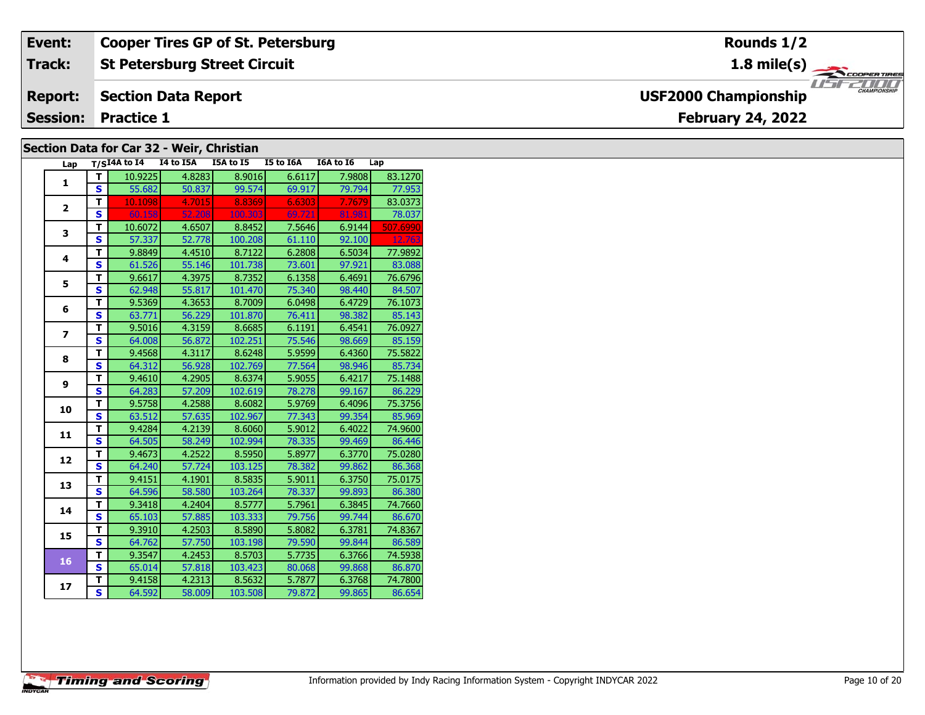| Event:                                    | <b>Cooper Tires GP of St. Petersburg</b> | Rounds 1/2                                         |  |  |  |  |  |  |  |  |
|-------------------------------------------|------------------------------------------|----------------------------------------------------|--|--|--|--|--|--|--|--|
| Track:                                    | <b>St Petersburg Street Circuit</b>      | $1.8 \text{ mile(s)}$                              |  |  |  |  |  |  |  |  |
| <b>Report:</b>                            | Section Data Report                      | <b>CHAMPIONSHIP</b><br><b>USF2000 Championship</b> |  |  |  |  |  |  |  |  |
| Session:                                  | <b>Practice 1</b>                        | <b>February 24, 2022</b>                           |  |  |  |  |  |  |  |  |
| Section Data for Car 32 - Weir, Christian |                                          |                                                    |  |  |  |  |  |  |  |  |

### **Lap T/SI4A to I4 I4 to I5A I5A to I5 I5 to I6A I6A to I6 Lap 1 <sup>T</sup>** 10.9225 4.8283 8.9016 6.6117 7.9808 83.1270 **<sup>S</sup>** 55.682 50.837 99.574 69.917 79.794 77.953**2 <sup>T</sup>** 10.1098 4.7015 8.8369 6.6303 7.7679 83.0373 **<sup>S</sup>** 60.158 52.208 100.303 69.721 81.981 78.03778.037 **3T** 10.6072 4.6507 8.8452 7.5646 6.9144 507.6990<br> **S** 57.337 52.778 100.208 61.110 92.100 12.763 **4 <sup>T</sup>** 9.8849 4.4510 8.7122 6.2808 6.5034 77.9892 **<sup>S</sup>** 61.526 55.146 101.738 73.601 97.921 83.08883.08 **5 <sup>T</sup>** 9.6617 4.3975 8.7352 6.1358 6.4691 76.6796 **<sup>S</sup>** 62.948 55.817 101.470 75.340 98.440 84.507**6 <sup>T</sup>** 9.5369 4.3653 8.7009 6.0498 6.4729 76.1073 **<sup>S</sup>** 63.771 56.229 101.870 76.411 98.382 85.143**7 <sup>T</sup>** 9.5016 4.3159 8.6685 6.1191 6.4541 76.0927 **<sup>S</sup>** 64.008 56.872 102.251 75.546 98.669 85.15985.159 **8 <sup>T</sup>** 9.4568 4.3117 8.6248 5.9599 6.4360 75.5822 **<sup>S</sup>** 64.312 56.928 102.769 77.564 98.946 85.734**9 <sup>T</sup>** 9.4610 4.2905 8.6374 5.9055 6.4217 75.1488 **<sup>S</sup>** 64.283 57.209 102.619 78.278 99.167 86.22986.229 **10 <sup>T</sup>** 9.5758 4.2588 8.6082 5.9769 6.4096 75.3756 **<sup>S</sup>** 63.512 57.635 102.967 77.343 99.354 85.969**11 <sup>T</sup>** 9.4284 4.2139 8.6060 5.9012 6.4022 74.9600 **<sup>S</sup>** 64.505 58.249 102.994 78.335 99.469 86.446**12 <sup>T</sup>** 9.4673 4.2522 8.5950 5.8977 6.3770 75.0280 **<sup>S</sup>** 64.240 57.724 103.125 78.382 99.862 86.36886.368 **13 <sup>T</sup>** 9.4151 4.1901 8.5835 5.9011 6.3750 75.0175 **<sup>S</sup>** 64.596 58.580 103.264 78.337 99.893 86.38086.380 **14 <sup>T</sup>** 9.3418 4.2404 8.5777 5.7961 6.3845 74.7660 **<sup>S</sup>** 65.103 57.885 103.333 79.756 99.744 86.67086.670 **15 <sup>T</sup>** 9.3910 4.2503 8.5890 5.8082 6.3781 74.8367 **<sup>S</sup>** 64.762 57.750 103.198 79.590 99.844 86.589**16 <sup>T</sup>** 9.3547 4.2453 8.5703 5.7735 6.3766 74.5938 **<sup>S</sup>** 65.014 57.818 103.423 80.068 99.868 86.870**17 <sup>T</sup>** 9.4158 4.2313 8.5632 5.7877 6.3768 74.7800 **<sup>S</sup>** 64.592 58.009 103.508 79.872 99.865 86.65486.654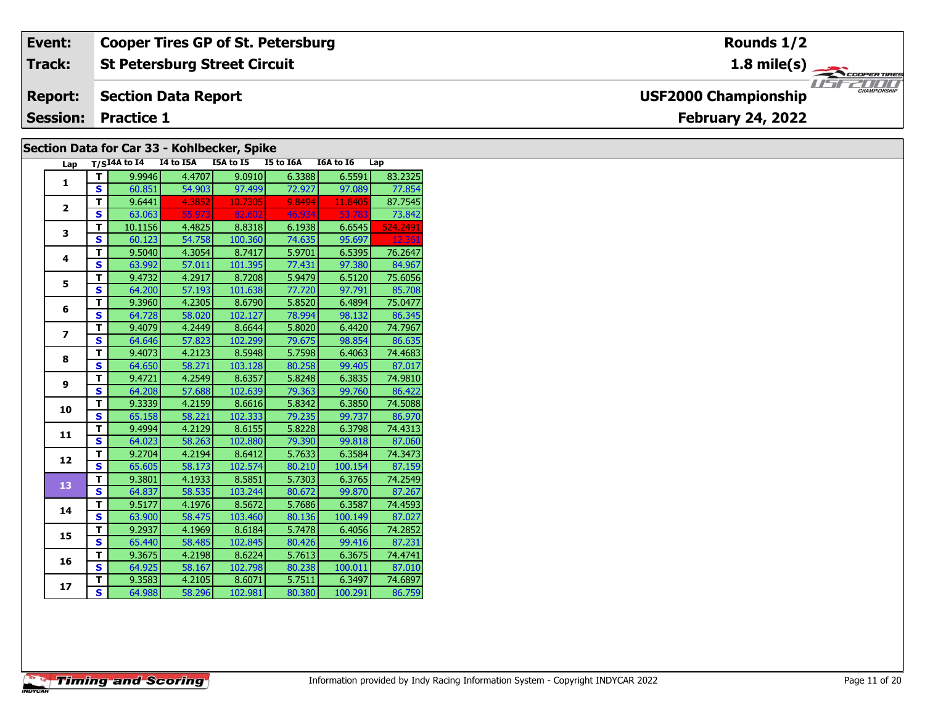| Event:         | <b>Cooper Tires GP of St. Petersburg</b> | Rounds 1/2                                      |
|----------------|------------------------------------------|-------------------------------------------------|
| Track:         | <b>St Petersburg Street Circuit</b>      | 1.8 mile(s) $\rightarrow$<br><b>COOPERTIRES</b> |
| <b>Report:</b> | Section Data Report                      | CHAMPIONSHIP<br><b>USF2000 Championship</b>     |
|                | <b>Session: Practice 1</b>               | <b>February 24, 2022</b>                        |
|                |                                          |                                                 |

### **Section Data for Car 33 - Kohlbecker, Spike**

| Lap                      |                         | $T/SI4A$ to $I4$ I4 to I5A |        | I5A to I5 | I5 to I6A | I6A to I6 | Lap      |
|--------------------------|-------------------------|----------------------------|--------|-----------|-----------|-----------|----------|
| $\mathbf{1}$             | т                       | 9.9946                     | 4.4707 | 9.0910    | 6.3388    | 6.5591    | 83.2325  |
|                          | S                       | 60.851                     | 54.903 | 97.499    | 72.927    | 97.089    | 77.854   |
| $\overline{2}$           | T.                      | 9.6441                     | 4.3852 | 10.7305   | 9.8494    | 11.8405   | 87.7545  |
|                          | S                       | 63.063                     | 55.973 | 82.602    | 46.934    | 53.783    | 73.842   |
| 3                        | T.                      | 10.1156                    | 4.4825 | 8.8318    | 6.1938    | 6.6545    | 524.2491 |
|                          | S                       | 60.123                     | 54.758 | 100.360   | 74.635    | 95.697    | 12.361   |
| 4                        | T                       | 9.5040                     | 4.3054 | 8.7417    | 5.9701    | 6.5395    | 76.2647  |
|                          | $\mathbf{s}$            | 63.992                     | 57.011 | 101.395   | 77.431    | 97.380    | 84.967   |
| 5                        | T.                      | 9.4732                     | 4.2917 | 8.7208    | 5.9479    | 6.5120    | 75.6056  |
|                          | S                       | 64.200                     | 57.193 | 101.638   | 77.720    | 97.791    | 85.708   |
| 6                        | T                       | 9.3960                     | 4.2305 | 8.6790    | 5.8520    | 6.4894    | 75.0477  |
|                          | S                       | 64.728                     | 58.020 | 102.127   | 78.994    | 98.132    | 86.345   |
| $\overline{\phantom{a}}$ | T                       | 9.4079                     | 4.2449 | 8.6644    | 5.8020    | 6.4420    | 74.7967  |
|                          | S                       | 64.646                     | 57.823 | 102.299   | 79.675    | 98.854    | 86.635   |
| 8                        | $\overline{\mathsf{r}}$ | 9.4073                     | 4.2123 | 8.5948    | 5.7598    | 6.4063    | 74.4683  |
|                          | $\mathbf{s}$            | 64.650                     | 58.271 | 103.128   | 80.258    | 99.405    | 87.017   |
| 9                        | T.                      | 9.4721                     | 4.2549 | 8.6357    | 5.8248    | 6.3835    | 74.9810  |
|                          | $\overline{\mathbf{s}}$ | 64.208                     | 57.688 | 102.639   | 79.363    | 99.760    | 86.422   |
| 10                       | T                       | 9.3339                     | 4.2159 | 8.6616    | 5.8342    | 6.3850    | 74.5088  |
|                          | S                       | 65.158                     | 58.221 | 102.333   | 79.235    | 99.737    | 86.970   |
| 11                       | $\overline{\mathsf{r}}$ | 9.4994                     | 4.2129 | 8.6155    | 5.8228    | 6.3798    | 74.4313  |
|                          | S                       | 64.023                     | 58.263 | 102.880   | 79.390    | 99.818    | 87.060   |
| 12                       | $\overline{\mathsf{r}}$ | 9.2704                     | 4.2194 | 8.6412    | 5.7633    | 6.3584    | 74.3473  |
|                          | $\mathbf{s}$            | 65.605                     | 58.173 | 102.574   | 80.210    | 100.154   | 87.159   |
| 13                       | T                       | 9.3801                     | 4.1933 | 8.5851    | 5.7303    | 6.3765    | 74.2549  |
|                          | $\overline{\mathbf{s}}$ | 64.837                     | 58.535 | 103.244   | 80.672    | 99.870    | 87.267   |
| 14                       | T                       | 9.5177                     | 4.1976 | 8.5672    | 5.7686    | 6.3587    | 74.4593  |
|                          | S                       | 63.900                     | 58.475 | 103.460   | 80.136    | 100.149   | 87.027   |
| 15                       | T                       | 9.2937                     | 4.1969 | 8.6184    | 5.7478    | 6.4056    | 74.2852  |
|                          | $\overline{\mathbf{s}}$ | 65.440                     | 58.485 | 102.845   | 80.426    | 99.416    | 87.231   |
|                          | T<br>S                  | 9.3675                     | 4.2198 | 8.6224    | 5.7613    | 6.3675    | 74.4741  |
| 16                       |                         | 64.925                     | 58.167 | 102.798   | 80.238    | 100.011   | 87.010   |
| 17                       | т                       | 9.3583                     | 4.2105 | 8.6071    | 5.7511    | 6.3497    | 74.6897  |
|                          | $\overline{\mathsf{s}}$ | 64.988                     | 58.296 | 102.981   | 80.380    | 100.291   | 86.759   |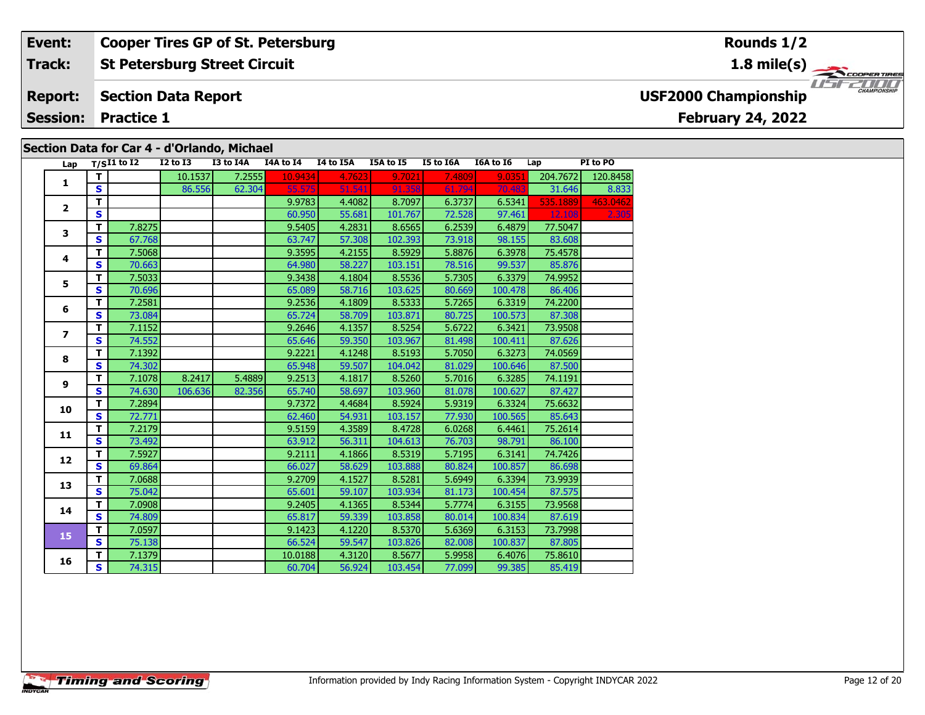### **St Petersburg Street Circuit Section Data Report February 24, 2022 Event: Cooper Tires GP of St. Petersburg Track: Report: Session: Practice 1 USF2000 Championship**

### **Section Data for Car 4 - d'Orlando, Michael**

| Lap                      |                         | $T/SI1$ to I2 | $I2$ to $I3$ | I3 to I4A | I4A to I4 | I4 to I5A | I5A to I5 | I5 to I6A | I6A to I6 | Lap      | PI to PO |
|--------------------------|-------------------------|---------------|--------------|-----------|-----------|-----------|-----------|-----------|-----------|----------|----------|
| $\mathbf{1}$             | T.                      |               | 10.1537      | 7.2555    | 10.9434   | 4.7623    | 9.7021    | 7.4809    | 9.0351    | 204.7672 | 120.8458 |
|                          | $\overline{\mathbf{s}}$ |               | 86.556       | 62.304    | 55.575    | 51.541    | 91.358    | 61.794    | 70.483    | 31.646   | 8.833    |
| $\mathbf{2}$             | T                       |               |              |           | 9.9783    | 4.4082    | 8.7097    | 6.3737    | 6.5341    | 535.1889 | 463.0462 |
|                          | S                       |               |              |           | 60.950    | 55.681    | 101.767   | 72.528    | 97.461    | 12.108   | 2.30     |
| 3                        | $\overline{\mathsf{T}}$ | 7.8275        |              |           | 9.5405    | 4.2831    | 8.6565    | 6.2539    | 6.4879    | 77.5047  |          |
|                          | S                       | 67.768        |              |           | 63.747    | 57.308    | 102.393   | 73.918    | 98.155    | 83.608   |          |
| 4                        | T.                      | 7.5068        |              |           | 9.3595    | 4.2155    | 8.5929    | 5.8876    | 6.3978    | 75.4578  |          |
|                          | S                       | 70.663        |              |           | 64.980    | 58.227    | 103.151   | 78.516    | 99.537    | 85.876   |          |
| 5                        | T.                      | 7.5033        |              |           | 9.3438    | 4.1804    | 8.5536    | 5.7305    | 6.3379    | 74.9952  |          |
|                          | S                       | 70.696        |              |           | 65.089    | 58.716    | 103.625   | 80.669    | 100.478   | 86.406   |          |
| 6                        | T.                      | 7.2581        |              |           | 9.2536    | 4.1809    | 8.5333    | 5.7265    | 6.3319    | 74.2200  |          |
|                          | S                       | 73.084        |              |           | 65.724    | 58.709    | 103.871   | 80.725    | 100.573   | 87.308   |          |
| $\overline{\phantom{a}}$ | T.                      | 7.1152        |              |           | 9.2646    | 4.1357    | 8.5254    | 5.6722    | 6.3421    | 73.9508  |          |
|                          | S                       | 74.552        |              |           | 65.646    | 59.350    | 103.967   | 81.498    | 100.411   | 87.626   |          |
| 8                        | T.                      | 7.1392        |              |           | 9.2221    | 4.1248    | 8.5193    | 5.7050    | 6.3273    | 74.0569  |          |
|                          | S.                      | 74.302        |              |           | 65.948    | 59.507    | 104.042   | 81.029    | 100.646   | 87.500   |          |
| 9                        | $\overline{\mathsf{T}}$ | 7.1078        | 8.2417       | 5.4889    | 9.2513    | 4.1817    | 8.5260    | 5.7016    | 6.3285    | 74.1191  |          |
|                          | S                       | 74.630        | 106.636      | 82.356    | 65.740    | 58.697    | 103.960   | 81.078    | 100.627   | 87.427   |          |
| 10                       | T.                      | 7.2894        |              |           | 9.7372    | 4.4684    | 8.5924    | 5.9319    | 6.3324    | 75.6632  |          |
|                          | S                       | 72.771        |              |           | 62.460    | 54.931    | 103.157   | 77.930    | 100.565   | 85.643   |          |
| 11                       | $\overline{\mathsf{T}}$ | 7.2179        |              |           | 9.5159    | 4.3589    | 8.4728    | 6.0268    | 6.4461    | 75.2614  |          |
|                          | S.                      | 73.492        |              |           | 63.912    | 56.311    | 104.613   | 76.703    | 98.791    | 86.100   |          |
| 12                       | T.                      | 7.5927        |              |           | 9.2111    | 4.1866    | 8.5319    | 5.7195    | 6.3141    | 74.7426  |          |
|                          | S.                      | 69.864        |              |           | 66.027    | 58.629    | 103.888   | 80.824    | 100.857   | 86.698   |          |
| 13                       | $\overline{\mathsf{T}}$ | 7.0688        |              |           | 9.2709    | 4.1527    | 8.5281    | 5.6949    | 6.3394    | 73.9939  |          |
|                          | $\overline{\mathbf{s}}$ | 75.042        |              |           | 65.601    | 59.107    | 103.934   | 81.173    | 100.454   | 87.575   |          |
| 14                       | T.                      | 7.0908        |              |           | 9.2405    | 4.1365    | 8.5344    | 5.7774    | 6.3155    | 73.9568  |          |
|                          | $\overline{\mathbf{s}}$ | 74.809        |              |           | 65.817    | 59.339    | 103.858   | 80.014    | 100.834   | 87.619   |          |
| 15                       | $\overline{\mathsf{T}}$ | 7.0597        |              |           | 9.1423    | 4.1220    | 8.5370    | 5.6369    | 6.3153    | 73.7998  |          |
|                          | S                       | 75.138        |              |           | 66.524    | 59.547    | 103.826   | 82.008    | 100.837   | 87.805   |          |
| 16                       | T.                      | 7.1379        |              |           | 10.0188   | 4.3120    | 8.5677    | 5.9958    | 6.4076    | 75,8610  |          |
|                          | $\overline{\mathbf{s}}$ | 74.315        |              |           | 60.704    | 56.924    | 103.454   | 77.099    | 99.385    | 85.419   |          |

### **Rounds 1/2**

**1.8 mile(s)**



**Timing and Scoring**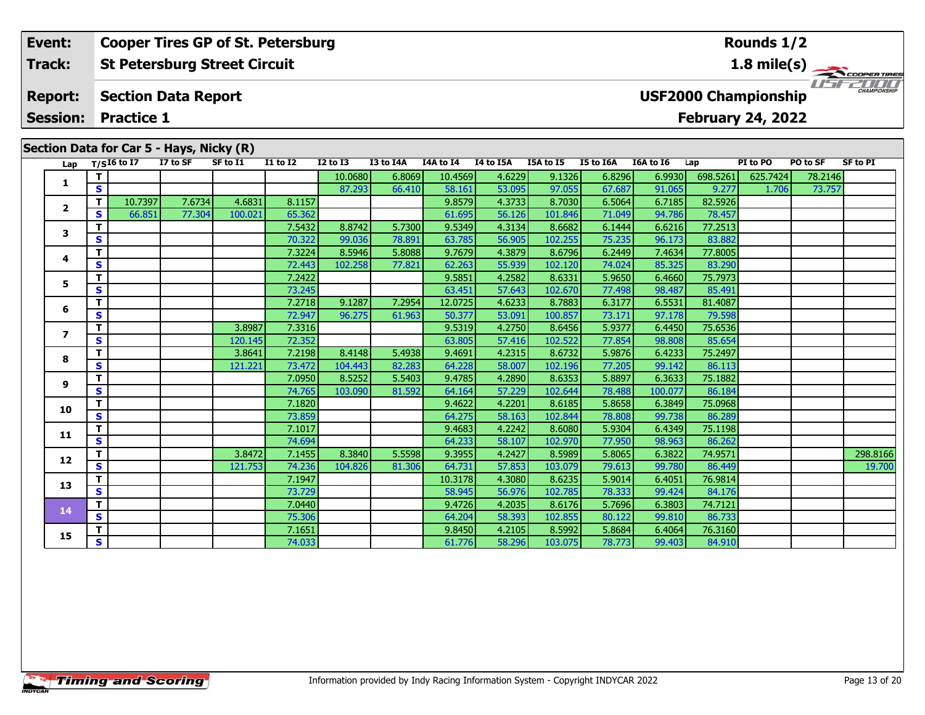### **St Petersburg Street Circuit Event: Cooper Tires GP of St. Petersburg Track:**

#### **Section Data Report Report:**

**Session: Practice 1**

|  | Section Data for Car 5 - Hays, Nicky (R)<br>I7 to SF<br>Lap $T/\overline{S^{16}}$ to 17<br>SF to I1<br>$I1$ to $I2$<br>$I2$ to $I3$<br>I3 to I4A<br>I4A to I4 I4 to I5A I5A to I5<br>I5 to I6A<br>I6A to I6<br>PI to PO<br><b>SF to PI</b><br>Lap<br>PO to SF |              |         |        |         |        |         |        |         |        |         |        |         |          |          |         |          |
|--|---------------------------------------------------------------------------------------------------------------------------------------------------------------------------------------------------------------------------------------------------------------|--------------|---------|--------|---------|--------|---------|--------|---------|--------|---------|--------|---------|----------|----------|---------|----------|
|  |                                                                                                                                                                                                                                                               |              |         |        |         |        |         |        |         |        |         |        |         |          |          |         |          |
|  |                                                                                                                                                                                                                                                               | T.           |         |        |         |        | 10.0680 | 6.8069 | 10.4569 | 4.6229 | 9.1326  | 6.8296 | 6.9930  | 698.5261 | 625.7424 | 78.2146 |          |
|  | 1                                                                                                                                                                                                                                                             | S            |         |        |         |        | 87.293  | 66.410 | 58.161  | 53.095 | 97.055  | 67.687 | 91.065  | 9.277    | 1.706    | 73.757  |          |
|  | $\mathbf{2}$                                                                                                                                                                                                                                                  | $\mathbf{T}$ | 10.7397 | 7.6734 | 4.6831  | 8.1157 |         |        | 9.8579  | 4.3733 | 8.7030  | 6.5064 | 6.7185  | 82.5926  |          |         |          |
|  |                                                                                                                                                                                                                                                               | s            | 66.851  | 77.304 | 100.021 | 65.362 |         |        | 61.695  | 56.126 | 101.846 | 71.049 | 94.786  | 78.457   |          |         |          |
|  | 3                                                                                                                                                                                                                                                             | т            |         |        |         | 7.5432 | 8.8742  | 5.7300 | 9.5349  | 4.3134 | 8.6682  | 6.1444 | 6.6216  | 77.2513  |          |         |          |
|  |                                                                                                                                                                                                                                                               | S            |         |        |         | 70.322 | 99.036  | 78.891 | 63.785  | 56.905 | 102.255 | 75.235 | 96.173  | 83.882   |          |         |          |
|  | 4                                                                                                                                                                                                                                                             | т            |         |        |         | 7.3224 | 8.5946  | 5.8088 | 9.7679  | 4.3879 | 8.6796  | 6.2449 | 7.4634  | 77.8005  |          |         |          |
|  |                                                                                                                                                                                                                                                               | S            |         |        |         | 72.443 | 102.258 | 77.821 | 62.263  | 55.939 | 102.120 | 74.024 | 85.325  | 83.290   |          |         |          |
|  | 5.                                                                                                                                                                                                                                                            | T            |         |        |         | 7.2422 |         |        | 9.5851  | 4.2582 | 8.6331  | 5.9650 | 6.4660  | 75.7973  |          |         |          |
|  |                                                                                                                                                                                                                                                               | S            |         |        |         | 73.245 |         |        | 63.451  | 57.643 | 102.670 | 77.498 | 98.487  | 85.491   |          |         |          |
|  | 6                                                                                                                                                                                                                                                             | Т            |         |        |         | 7.2718 | 9.1287  | 7.2954 | 12.0725 | 4.6233 | 8.7883  | 6.3177 | 6.5531  | 81.4087  |          |         |          |
|  |                                                                                                                                                                                                                                                               | $\mathbf{s}$ |         |        |         | 72.947 | 96.275  | 61.963 | 50.377  | 53.091 | 100.857 | 73.171 | 97.178  | 79.598   |          |         |          |
|  | 7                                                                                                                                                                                                                                                             | т            |         |        | 3.8987  | 7.3316 |         |        | 9.5319  | 4.2750 | 8.6456  | 5.9377 | 6.4450  | 75.6536  |          |         |          |
|  |                                                                                                                                                                                                                                                               | $\mathbf{s}$ |         |        | 120.145 | 72.352 |         |        | 63.805  | 57.416 | 102.522 | 77.854 | 98.808  | 85.654   |          |         |          |
|  | 8                                                                                                                                                                                                                                                             | T            |         |        | 3.8641  | 7.2198 | 8.4148  | 5.4938 | 9.4691  | 4.2315 | 8.6732  | 5.9876 | 6.4233  | 75.2497  |          |         |          |
|  |                                                                                                                                                                                                                                                               | S            |         |        | 121.221 | 73.472 | 104.443 | 82.283 | 64.228  | 58.007 | 102.196 | 77.205 | 99.142  | 86.113   |          |         |          |
|  | 9                                                                                                                                                                                                                                                             | Т            |         |        |         | 7.0950 | 8.5252  | 5.5403 | 9.4785  | 4.2890 | 8.6353  | 5.8897 | 6.3633  | 75.1882  |          |         |          |
|  |                                                                                                                                                                                                                                                               | S            |         |        |         | 74.765 | 103.090 | 81.592 | 64.164  | 57.229 | 102.644 | 78.488 | 100.077 | 86.184   |          |         |          |
|  | 10                                                                                                                                                                                                                                                            | т            |         |        |         | 7.1820 |         |        | 9.4622  | 4.2201 | 8.6185  | 5.8658 | 6.3849  | 75.0968  |          |         |          |
|  |                                                                                                                                                                                                                                                               | S            |         |        |         | 73.859 |         |        | 64.275  | 58.163 | 102.844 | 78.808 | 99.738  | 86.289   |          |         |          |
|  | 11                                                                                                                                                                                                                                                            | т            |         |        |         | 7.1017 |         |        | 9.4683  | 4.2242 | 8.6080  | 5.9304 | 6.4349  | 75.1198  |          |         |          |
|  |                                                                                                                                                                                                                                                               | $\mathbf{s}$ |         |        |         | 74.694 |         |        | 64.233  | 58.107 | 102.970 | 77.950 | 98.963  | 86.262   |          |         |          |
|  | 12                                                                                                                                                                                                                                                            |              |         |        | 3.8472  | 7.1455 | 8.3840  | 5.5598 | 9.3955  | 4.2427 | 8.5989  | 5.8065 | 6.3822  | 74.9571  |          |         | 298.8166 |
|  |                                                                                                                                                                                                                                                               | S            |         |        | 121.753 | 74.236 | 104.826 | 81.306 | 64.731  | 57.853 | 103.079 | 79.613 | 99.780  | 86.449   |          |         | 19.700   |
|  | 13                                                                                                                                                                                                                                                            | т            |         |        |         | 7.1947 |         |        | 10.3178 | 4.3080 | 8.6235  | 5.9014 | 6.4051  | 76.9814  |          |         |          |
|  |                                                                                                                                                                                                                                                               | $\mathbf{s}$ |         |        |         | 73.729 |         |        | 58.945  | 56.976 | 102.785 | 78.333 | 99.424  | 84.176   |          |         |          |
|  | 14                                                                                                                                                                                                                                                            | $\mathbf T$  |         |        |         | 7.0440 |         |        | 9.4726  | 4.2035 | 8.6176  | 5.7696 | 6.3803  | 74.7121  |          |         |          |
|  |                                                                                                                                                                                                                                                               | S            |         |        |         | 75.306 |         |        | 64.204  | 58.393 | 102.855 | 80.122 | 99.810  | 86.733   |          |         |          |
|  | 15                                                                                                                                                                                                                                                            |              |         |        |         | 7.1651 |         |        | 9.8450  | 4.2105 | 8.5992  | 5.8684 | 6.4064  | 76.3160  |          |         |          |
|  |                                                                                                                                                                                                                                                               | S.           |         |        |         | 74.033 |         |        | 61.776  | 58.296 | 103.075 | 78.773 | 99.403  | 84.910   |          |         |          |

# **USF2000 Championship**

**February 24, 2022**

### **Rounds 1/2**

THE PLANTING

**1.8 mile(s)**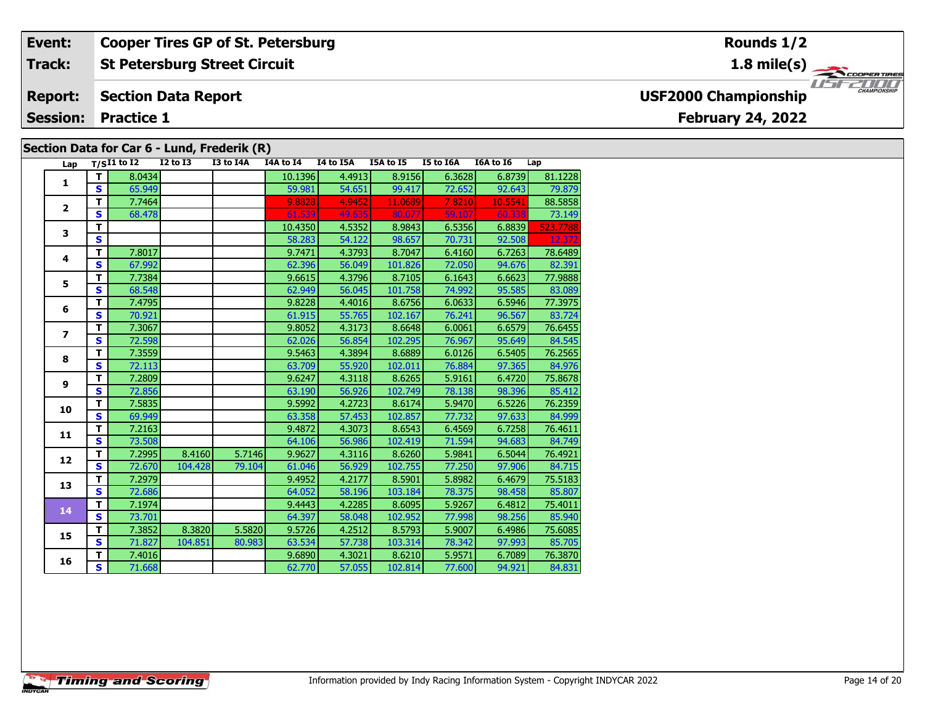#### **Event: Cooper Tires GP of St. Petersburg Rounds 1/21.8 mile(s) St Petersburg Street Circuit Track:** THE COOPERTIRES **Section Data Report Report: USF2000 Championship February 24, 2022 Session: Practice 1 Section Data for Car 6 - Lund, Frederik (R)**

| Lap                     |                         | $T/SI1$ to I2 | $I2$ to $I3$ | I3 to I4A | I4A to I4 | I4 to I5A | I5A to I5 | I5 to I6A | I6A to I6 | Lap      |
|-------------------------|-------------------------|---------------|--------------|-----------|-----------|-----------|-----------|-----------|-----------|----------|
|                         | T.                      | 8.0434        |              |           | 10.1396   | 4.4913    | 8.9156    | 6.3628    | 6.8739    | 81.1228  |
| 1                       | S                       | 65.949        |              |           | 59.981    | 54.651    | 99.417    | 72.652    | 92.643    | 79.879   |
|                         | т                       | 7.7464        |              |           | 9.8828    | 4.9452    | 11.0689   | 7.8210    | 10.5541   | 88.5858  |
| $\overline{2}$          | S                       | 68.478        |              |           | 61.539    | 49.635    | 80.077    | 59.107    | 60.338    | 73.149   |
|                         | $\overline{\mathsf{r}}$ |               |              |           | 10.4350   | 4.5352    | 8.9843    | 6.5356    | 6.8839    | 523.7788 |
| 3                       | S                       |               |              |           | 58.283    | 54.122    | 98.657    | 70.731    | 92.508    | 12.372   |
|                         | T.                      | 7.8017        |              |           | 9.7471    | 4.3793    | 8.7047    | 6.4160    | 6.7263    | 78.6489  |
| 4                       | S                       | 67.992        |              |           | 62.396    | 56.049    | 101.826   | 72.050    | 94.676    | 82.391   |
|                         | T                       | 7.7384        |              |           | 9.6615    | 4.3796    | 8.7105    | 6.1643    | 6.6623    | 77.9888  |
| 5                       | S                       | 68.548        |              |           | 62.949    | 56.045    | 101.758   | 74.992    | 95.585    | 83.089   |
|                         | т                       | 7.4795        |              |           | 9.8228    | 4.4016    | 8.6756    | 6.0633    | 6.5946    | 77.3975  |
| 6                       | $\mathbf{s}$            | 70.921        |              |           | 61.915    | 55.765    | 102.167   | 76.241    | 96.567    | 83.724   |
|                         | T.                      | 7.3067        |              |           | 9.8052    | 4.3173    | 8.6648    | 6.0061    | 6.6579    | 76.6455  |
| $\overline{\mathbf{z}}$ | S                       | 72.598        |              |           | 62.026    | 56.854    | 102.295   | 76.967    | 95.649    | 84.545   |
|                         | т                       | 7.3559        |              |           | 9.5463    | 4.3894    | 8.6889    | 6.0126    | 6.5405    | 76.2565  |
| 8                       | S                       | 72.113        |              |           | 63.709    | 55.920    | 102.011   | 76.884    | 97.365    | 84.976   |
| 9                       | T                       | 7.2809        |              |           | 9.6247    | 4.3118    | 8.6265    | 5.9161    | 6.4720    | 75.8678  |
|                         | S.                      | 72.856        |              |           | 63.190    | 56.926    | 102.749   | 78.138    | 98.396    | 85.412   |
| 10                      | T                       | 7.5835        |              |           | 9.5992    | 4.2723    | 8.6174    | 5.9470    | 6.5226    | 76.2359  |
|                         | $\overline{\mathbf{s}}$ | 69.949        |              |           | 63.358    | 57.453    | 102.857   | 77.732    | 97.633    | 84.999   |
| 11                      | $\overline{\mathsf{T}}$ | 7.2163        |              |           | 9.4872    | 4.3073    | 8.6543    | 6.4569    | 6.7258    | 76.4611  |
|                         | S                       | 73.508        |              |           | 64.106    | 56.986    | 102.419   | 71.594    | 94.683    | 84.749   |
| 12                      | T                       | 7.2995        | 8.4160       | 5.7146    | 9.9627    | 4.3116    | 8.6260    | 5.9841    | 6.5044    | 76.4921  |
|                         | S                       | 72.670        | 104.428      | 79.104    | 61.046    | 56.929    | 102.755   | 77.250    | 97.906    | 84.715   |
| 13                      | T.                      | 7.2979        |              |           | 9.4952    | 4.2177    | 8.5901    | 5.8982    | 6.4679    | 75.5183  |
|                         | S                       | 72.686        |              |           | 64.052    | 58.196    | 103.184   | 78.375    | 98.458    | 85.807   |
| 14                      | T                       | 7.1974        |              |           | 9.4443    | 4.2285    | 8.6095    | 5.9267    | 6.4812    | 75.4011  |
|                         | $\overline{\mathbf{s}}$ | 73.701        |              |           | 64.397    | 58.048    | 102.952   | 77.998    | 98.256    | 85.940   |
| 15                      | T                       | 7.3852        | 8.3820       | 5.5820    | 9.5726    | 4.2512    | 8.5793    | 5.9007    | 6.4986    | 75.6085  |
|                         | $\overline{\mathbf{s}}$ | 71.827        | 104.851      | 80.983    | 63.534    | 57.738    | 103.314   | 78.342    | 97.993    | 85.705   |
| 16                      | T                       | 7.4016        |              |           | 9.6890    | 4.3021    | 8.6210    | 5.9571    | 6.7089    | 76.3870  |
|                         | S                       | 71.668        |              |           | 62.770    | 57.055    | 102.814   | 77.600    | 94.921    | 84.831   |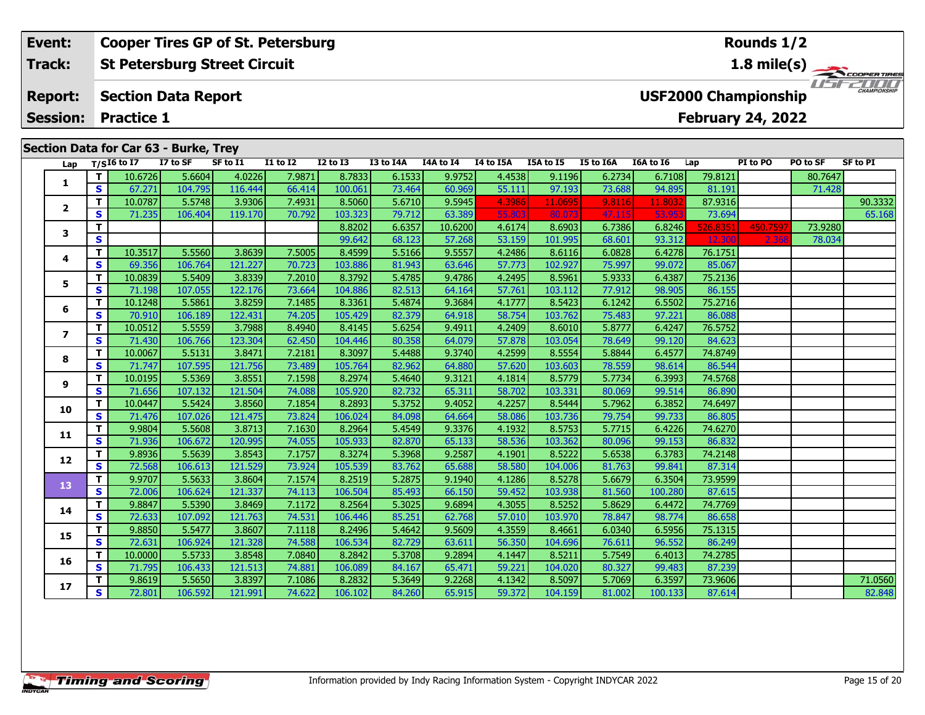#### **Event: Cooper Tires GP of St. Petersburg Rounds 1/2St Petersburg Street Circuit 1.8 mile(s) Track:** THE COOPERTIRES **USF2000 Championship Section Data Report Report: February 24, 2022 Session: Practice 1**

|                         |              | Section Data for Car 63 - Burke, Trey |          |          |              |                 |           |           |           |           |                  |           |          |          |          |                 |
|-------------------------|--------------|---------------------------------------|----------|----------|--------------|-----------------|-----------|-----------|-----------|-----------|------------------|-----------|----------|----------|----------|-----------------|
| Lap                     |              | $T/SI6$ to I7                         | I7 to SF | SF to I1 | $I1$ to $I2$ | <b>I2 to I3</b> | I3 to I4A | I4A to I4 | I4 to I5A | I5A to I5 | <b>I5 to I6A</b> | I6A to I6 | Lap      | PI to PO | PO to SF | <b>SF to PI</b> |
|                         | T            | 10.6726                               | 5.6604   | 4.0226   | 7.9871       | 8.7833          | 6.1533    | 9.9752    | 4.4538    | 9.1196    | 6.2734           | 6.7108    | 79.8121  |          | 80.7647  |                 |
| 1                       | $\mathbf{s}$ | 67.271                                | 104.795  | 116.444  | 66.414       | 100.061         | 73.464    | 60.969    | 55.111    | 97.193    | 73.688           | 94.895    | 81.191   |          | 71.428   |                 |
|                         | T.           | 10.0787                               | 5.5748   | 3.9306   | 7.4931       | 8.5060          | 5.6710    | 9.5945    | 4.3986    | 11.0695   | 9.8116           | 11.8032   | 87.9316  |          |          | 90.3332         |
| $\mathbf{2}$            | $\mathbf{s}$ | 71.235                                | 106.404  | 119.170  | 70.792       | 103.323         | 79.712    | 63.389    | 55.803    | 80.07     | 47.115           | 53.95     | 73.694   |          |          | 65.168          |
|                         | T            |                                       |          |          |              | 8.8202          | 6.6357    | 10.6200   | 4.6174    | 8.6903    | 6.7386           | 6.8246    | 526.8351 | 450.759  | 73.9280  |                 |
| 3                       | S            |                                       |          |          |              | 99.642          | 68.123    | 57.268    | 53.159    | 101.995   | 68.601           | 93.312    | 12,300   | 2.368    | 78.034   |                 |
|                         | T.           | 10.3517                               | 5.5560   | 3.8639   | 7.5005       | 8.4599          | 5.5166    | 9.5557    | 4.2486    | 8.6116    | 6.0828           | 6.4278    | 76.1751  |          |          |                 |
| 4                       | S            | 69.356                                | 106.764  | 121.227  | 70.723       | 103.886         | 81.943    | 63.646    | 57.773    | 102.927   | 75.997           | 99.072    | 85.067   |          |          |                 |
| 5                       | T            | 10.0839                               | 5.5409   | 3.8339   | 7.2010       | 8.3792          | 5.4785    | 9.4786    | 4.2495    | 8.5961    | 5.9333           | 6.4387    | 75.2136  |          |          |                 |
|                         | <b>S</b>     | 71.198                                | 107.055  | 122.176  | 73.664       | 104.886         | 82.513    | 64.164    | 57.761    | 103.112   | 77.912           | 98.905    | 86.155   |          |          |                 |
| 6                       | T            | 10.1248                               | 5.5861   | 3.8259   | 7.1485       | 8.3361          | 5.4874    | 9.3684    | 4.1777    | 8.5423    | 6.1242           | 6.5502    | 75.2716  |          |          |                 |
|                         | S            | 70.910                                | 106.189  | 122.431  | 74.205       | 105.429         | 82.379    | 64.918    | 58.754    | 103.762   | 75.483           | 97.221    | 86.088   |          |          |                 |
| $\overline{\mathbf{z}}$ | T            | 10.0512                               | 5.5559   | 3.7988   | 8.4940       | 8.4145          | 5.6254    | 9.4911    | 4.2409    | 8.6010    | 5.8777           | 6.4247    | 76.5752  |          |          |                 |
|                         | S            | 71.430                                | 106.766  | 123.304  | 62.450       | 104.446         | 80.358    | 64.079    | 57.878    | 103.054   | 78.649           | 99.120    | 84.623   |          |          |                 |
| 8                       | T            | 10.0067                               | 5.5131   | 3.8471   | 7.2181       | 8.3097          | 5.4488    | 9.3740    | 4.2599    | 8.5554    | 5.8844           | 6.4577    | 74.8749  |          |          |                 |
|                         | $\mathbf{s}$ | 71.747                                | 107.595  | 121.756  | 73.489       | 105.764         | 82.962    | 64.880    | 57.620    | 103.603   | 78.559           | 98.614    | 86.544   |          |          |                 |
| 9                       | T            | 10.0195                               | 5.5369   | 3.8551   | 7.1598       | 8.2974          | 5.4640    | 9.3121    | 4.1814    | 8.5779    | 5.7734           | 6.3993    | 74.5768  |          |          |                 |
|                         | $\mathbf{s}$ | 71.656                                | 107.132  | 121.504  | 74.088       | 105.920         | 82.732    | 65.311    | 58.702    | 103.331   | 80.069           | 99.514    | 86.890   |          |          |                 |
| 10                      | T            | 10.0447                               | 5.5424   | 3.8560   | 7.1854       | 8.2893          | 5.3752    | 9.4052    | 4.2257    | 8.5444    | 5.7962           | 6.3852    | 74.6497  |          |          |                 |
|                         | <b>S</b>     | 71.476                                | 107.026  | 121.475  | 73.824       | 106.024         | 84.098    | 64.664    | 58.086    | 103.736   | 79.754           | 99.733    | 86.805   |          |          |                 |
| 11                      | T            | 9.9804                                | 5.5608   | 3.8713   | 7.1630       | 8.2964          | 5.4549    | 9.3376    | 4.1932    | 8.5753    | 5.7715           | 6.4226    | 74.6270  |          |          |                 |
|                         | S            | 71.936                                | 106.672  | 120.995  | 74.055       | 105.933         | 82.870    | 65.133    | 58.536    | 103.362   | 80.096           | 99.153    | 86.832   |          |          |                 |
| 12                      | T            | 9.8936                                | 5.5639   | 3.8543   | 7.1757       | 8.3274          | 5.3968    | 9.2587    | 4.1901    | 8.5222    | 5.6538           | 6.3783    | 74.2148  |          |          |                 |
|                         | <b>S</b>     | 72.568                                | 106.613  | 121.529  | 73.924       | 105.539         | 83.762    | 65.688    | 58.580    | 104.006   | 81.763           | 99.841    | 87.314   |          |          |                 |
| 13                      | T            | 9.9707                                | 5.5633   | 3.8604   | 7.1574       | 8.2519          | 5.2875    | 9.1940    | 4.1286    | 8.5278    | 5.6679           | 6.3504    | 73.9599  |          |          |                 |
|                         | <b>S</b>     | 72.006                                | 106.624  | 121.337  | 74.113       | 106.504         | 85.493    | 66.150    | 59.452    | 103.938   | 81.560           | 100.280   | 87.615   |          |          |                 |
| 14                      | T            | 9.8847                                | 5.5390   | 3.8469   | 7.1172       | 8.2564          | 5.3025    | 9.6894    | 4.3055    | 8.5252    | 5.8629           | 6.4472    | 74.7769  |          |          |                 |
|                         | S            | 72.633                                | 107.092  | 121.763  | 74.531       | 106.446         | 85.251    | 62.768    | 57.010    | 103.970   | 78.847           | 98.774    | 86.658   |          |          |                 |
| 15                      | T            | 9.8850                                | 5.5477   | 3.8607   | 7.1118       | 8.2496          | 5.4642    | 9.5609    | 4.3559    | 8.4661    | 6.0340           | 6.5956    | 75.1315  |          |          |                 |
|                         | $\mathbf{s}$ | 72.631                                | 106.924  | 121.328  | 74.588       | 106.534         | 82.729    | 63.611    | 56.350    | 104.696   | 76.611           | 96.552    | 86.249   |          |          |                 |
|                         | T            | 10.0000                               | 5.5733   | 3.8548   | 7.0840       | 8.2842          | 5.3708    | 9.2894    | 4.1447    | 8.5211    | 5.7549           | 6.4013    | 74.2785  |          |          |                 |
| 16                      | S            | 71.795                                | 106.433  | 121.513  | 74.881       | 106.089         | 84.167    | 65.471    | 59.221    | 104.020   | 80.327           | 99.483    | 87.239   |          |          |                 |
|                         | T            | 9.8619                                | 5.5650   | 3.8397   | 7.1086       | 8.2832          | 5.3649    | 9.2268    | 4.1342    | 8.5097    | 5.7069           | 6.3597    | 73.9606  |          |          | 71.0560         |
| 17                      | S.           | 72.801                                | 106.592  | 121.991  | 74.622       | 106.102         | 84.260    | 65.915    | 59.372    | 104.159   | 81.002           | 100.133   | 87.614   |          |          | 82.848          |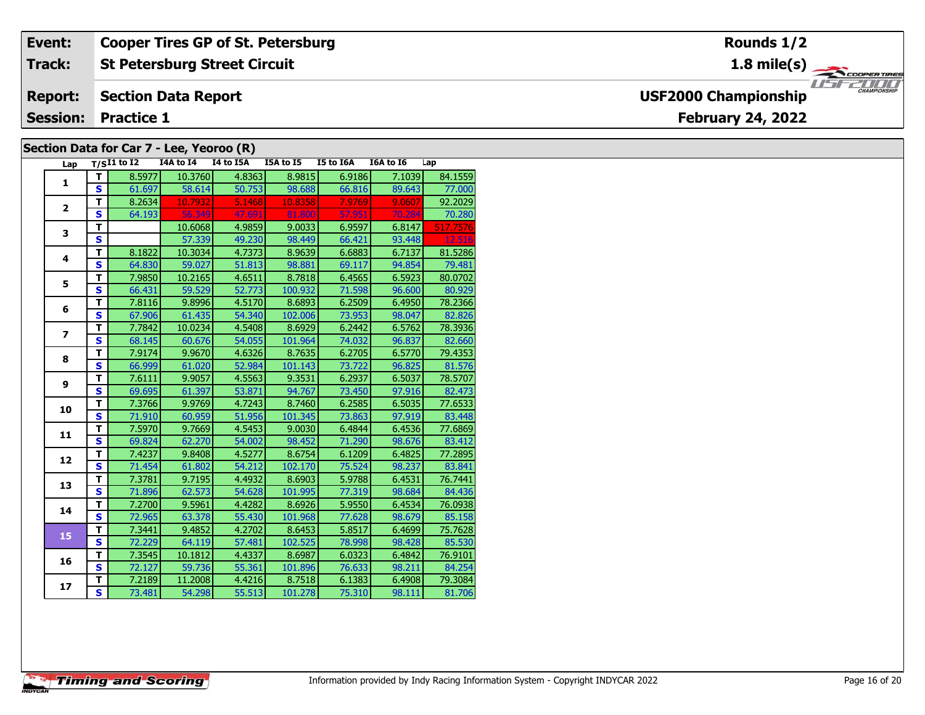#### **Event: Cooper Tires GP of St. Petersburg Rounds 1/2St Petersburg Street Circuit 1.8 mile(s) Track:** THE COOPERTIRES **Report: Section Data Report USF2000 Championship February 24, 2022 Session: Practice 1 Section Data for Car 7 - Lee, Yeoroo (R)**

|                          |                         |                            |           | $3$ $3$ $3$ $3$ $3$ $4$ $5$ $6$ $7$ $7$ $8$ $1$ $1$ $1$ $1$ $1$ $1$ $1$ $1$ $1$ |           |           |           |          |
|--------------------------|-------------------------|----------------------------|-----------|---------------------------------------------------------------------------------|-----------|-----------|-----------|----------|
| Lap                      |                         | $T/SI1$ to $\overline{I2}$ | I4A to I4 | I4 to I5A                                                                       | I5A to I5 | I5 to I6A | I6A to I6 | Lap      |
| 1                        | т                       | 8.5977                     | 10.3760   | 4.8363                                                                          | 8.9815    | 6.9186    | 7.1039    | 84.1559  |
|                          | S                       | 61.697                     | 58.614    | 50.753                                                                          | 98.688    | 66.816    | 89.643    | 77.000   |
| $\overline{\mathbf{2}}$  | T                       | 8.2634                     | 10.7932   | 5.1468                                                                          | 10.8358   | 7.9769    | 9.0607    | 92.2029  |
|                          | $\mathbf{s}$            | 64.193                     | 56.349    | 47.691                                                                          | 81.800    | 57.951    | 70.284    | 70.280   |
| 3                        | T                       |                            | 10.6068   | 4.9859                                                                          | 9.0033    | 6.9597    | 6.8147    | 517.7576 |
|                          | $\overline{\mathbf{s}}$ |                            | 57.339    | 49.230                                                                          | 98.449    | 66.421    | 93.448    | 12.516   |
| 4                        | T                       | 8.1822                     | 10.3034   | 4.7373                                                                          | 8.9639    | 6.6883    | 6.7137    | 81.5286  |
|                          | S                       | 64.830                     | 59.027    | 51.813                                                                          | 98.881    | 69.117    | 94.854    | 79.481   |
| 5                        | T                       | 7.9850                     | 10.2165   | 4.6511                                                                          | 8.7818    | 6.4565    | 6.5923    | 80.0702  |
|                          | S                       | 66.431                     | 59.529    | 52.773                                                                          | 100.932   | 71.598    | 96.600    | 80.929   |
| 6                        | T                       | 7.8116                     | 9.8996    | 4.5170                                                                          | 8.6893    | 6.2509    | 6.4950    | 78.2366  |
|                          | $\mathbf{s}$            | 67.906                     | 61.435    | 54.340                                                                          | 102.006   | 73.953    | 98.047    | 82.826   |
| $\overline{\phantom{a}}$ | T                       | 7.7842                     | 10.0234   | 4.5408                                                                          | 8.6929    | 6.2442    | 6.5762    | 78.3936  |
|                          | S.                      | 68.145                     | 60.676    | 54.055                                                                          | 101.964   | 74.032    | 96.837    | 82.660   |
| 8                        | T                       | 7.9174                     | 9.9670    | 4.6326                                                                          | 8.7635    | 6.2705    | 6.5770    | 79.4353  |
|                          | S                       | 66.999                     | 61.020    | 52.984                                                                          | 101.143   | 73.722    | 96.825    | 81.576   |
| 9                        | T.                      | 7.6111                     | 9.9057    | 4.5563                                                                          | 9.3531    | 6.2937    | 6.5037    | 78.5707  |
|                          | $\mathbf{s}$            | 69.695                     | 61.397    | 53.871                                                                          | 94.767    | 73.450    | 97.916    | 82.473   |
| 10                       | T                       | 7.3766                     | 9.9769    | 4.7243                                                                          | 8.7460    | 6.2585    | 6.5035    | 77.6533  |
|                          | S                       | 71.910                     | 60.959    | 51.956                                                                          | 101.345   | 73.863    | 97.919    | 83.448   |
| 11                       | $\mathbf T$             | 7.5970                     | 9.7669    | 4.5453                                                                          | 9.0030    | 6.4844    | 6.4536    | 77.6869  |
|                          | $\mathbf{s}$            | 69.824                     | 62.270    | 54.002                                                                          | 98.452    | 71.290    | 98.676    | 83.412   |
| 12                       | T                       | 7.4237                     | 9.8408    | 4.5277                                                                          | 8.6754    | 6.1209    | 6.4825    | 77.2895  |
|                          | $\mathbf{s}$            | 71.454                     | 61.802    | 54.212                                                                          | 102.170   | 75.524    | 98.237    | 83.841   |
| 13                       | T                       | 7.3781                     | 9.7195    | 4.4932                                                                          | 8.6903    | 5.9788    | 6.4531    | 76.7441  |
|                          | $\overline{\mathbf{s}}$ | 71.896                     | 62.573    | 54.628                                                                          | 101.995   | 77.319    | 98.684    | 84.436   |
| 14                       | T                       | 7.2700                     | 9.5961    | 4.4282                                                                          | 8.6926    | 5.9550    | 6.4534    | 76.0938  |
|                          | $\overline{\mathbf{s}}$ | 72.965                     | 63.378    | 55.430                                                                          | 101.968   | 77.628    | 98.679    | 85.158   |
| 15                       | T                       | 7.3441                     | 9.4852    | 4.2702                                                                          | 8.6453    | 5.8517    | 6.4699    | 75.7628  |
|                          | S.                      | 72.229                     | 64.119    | 57.481                                                                          | 102.525   | 78.998    | 98.428    | 85.530   |
| 16                       | $\overline{\mathsf{r}}$ | 7.3545                     | 10.1812   | 4.4337                                                                          | 8.6987    | 6.0323    | 6.4842    | 76.9101  |
|                          | S                       | 72.127                     | 59.736    | 55.361                                                                          | 101.896   | 76.633    | 98.211    | 84.254   |
| 17                       | T                       | 7.2189                     | 11.2008   | 4.4216                                                                          | 8.7518    | 6.1383    | 6.4908    | 79.3084  |
|                          | S.                      | 73.481                     | 54.298    | 55.513                                                                          | 101.278   | 75.310    | 98.111    | 81.706   |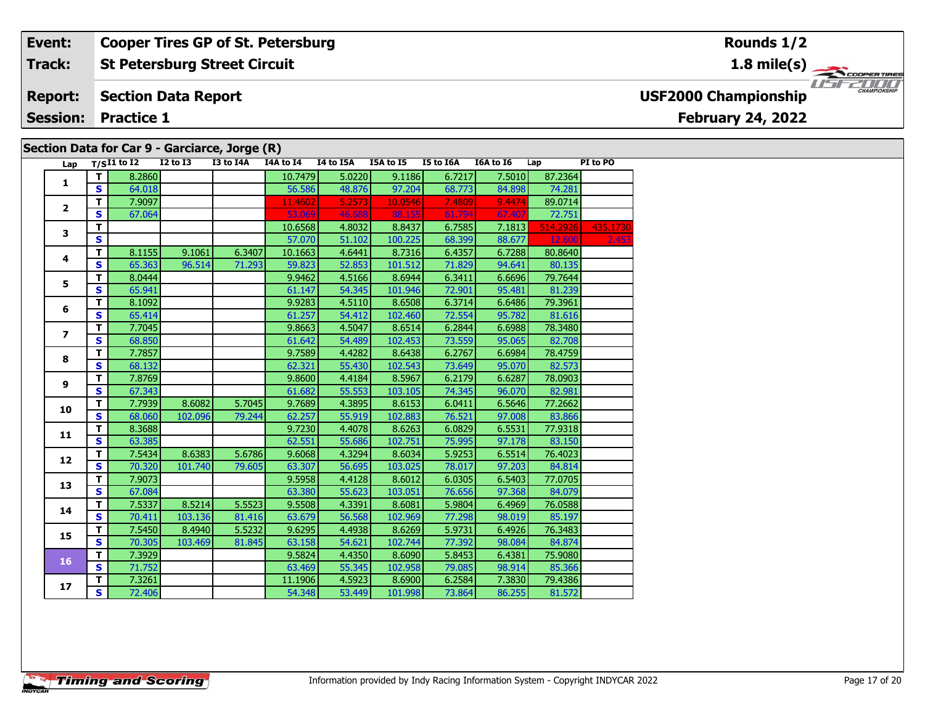### **Event:Cooper Tires GP of St. Petersburg**

#### **St Petersburg Street Circuit Track:**

#### **Section Data Report Report:**

**Session: Practice 1**

### **Section Data for Car 9 - Garciarce, Jorge (R)**

| Lap                     |              | $T/SI1$ to $\overline{I2}$ | <b>I2 to I3</b> | I3 to I4A | I4A to I4 | I4 to I5A | I5A to I5 | I5 to I6A | I6A to I6 | Lap      | PI to PO |
|-------------------------|--------------|----------------------------|-----------------|-----------|-----------|-----------|-----------|-----------|-----------|----------|----------|
|                         | $\mathbf{T}$ | 8.2860                     |                 |           | 10.7479   | 5.0220    | 9.1186    | 6.7217    | 7.5010    | 87.2364  |          |
| $\mathbf{1}$            | <b>S</b>     | 64.018                     |                 |           | 56.586    | 48.876    | 97.204    | 68.773    | 84.898    | 74.281   |          |
|                         | T            | 7.9097                     |                 |           | 11.4602   | 5.2573    | 10.0546   | 7.4809    | 9.4474    | 89.0714  |          |
| $\overline{2}$          | S            | 67.064                     |                 |           | 53.069    | 46.688    | 88.155    | 61.794    | 67.407    | 72.751   |          |
| 3                       | T            |                            |                 |           | 10.6568   | 4.8032    | 8.8437    | 6.7585    | 7.1813    | 514.2926 | 435.1730 |
|                         | S            |                            |                 |           | 57.070    | 51.102    | 100.225   | 68.399    | 88.677    | 12,600   | 2.453    |
|                         | T.           | 8.1155                     | 9.1061          | 6.3407    | 10.1663   | 4.6441    | 8.7316    | 6.4357    | 6.7288    | 80.8640  |          |
| 4                       | S            | 65.363                     | 96.514          | 71.293    | 59.823    | 52.853    | 101.512   | 71.829    | 94.641    | 80.135   |          |
| 5                       | T            | 8.0444                     |                 |           | 9.9462    | 4.5166    | 8.6944    | 6.3411    | 6.6696    | 79.7644  |          |
|                         | S            | 65.941                     |                 |           | 61.147    | 54.345    | 101.946   | 72.901    | 95.481    | 81.239   |          |
| 6                       | $\mathbf T$  | 8.1092                     |                 |           | 9.9283    | 4.5110    | 8.6508    | 6.3714    | 6.6486    | 79.3961  |          |
|                         | S            | 65.414                     |                 |           | 61.257    | 54.412    | 102.460   | 72.554    | 95.782    | 81.616   |          |
| $\overline{\mathbf{z}}$ | T            | 7.7045                     |                 |           | 9.8663    | 4.5047    | 8.6514    | 6.2844    | 6.6988    | 78.3480  |          |
|                         | $\mathbf{s}$ | 68.850                     |                 |           | 61.642    | 54.489    | 102.453   | 73.559    | 95.065    | 82.708   |          |
| 8                       | T            | 7.7857                     |                 |           | 9.7589    | 4.4282    | 8.6438    | 6.2767    | 6.6984    | 78.4759  |          |
|                         | S            | 68.132                     |                 |           | 62.321    | 55.430    | 102.543   | 73.649    | 95.070    | 82.573   |          |
| 9                       | T            | 7.8769                     |                 |           | 9.8600    | 4.4184    | 8.5967    | 6.2179    | 6.6287    | 78.0903  |          |
|                         | $\mathbf{s}$ | 67.343                     |                 |           | 61.682    | 55.553    | 103.105   | 74.345    | 96.070    | 82.981   |          |
| 10                      | T            | 7.7939                     | 8.6082          | 5.7045    | 9.7689    | 4.3895    | 8.6153    | 6.0411    | 6.5646    | 77.2662  |          |
|                         | S            | 68.060                     | 102.096         | 79.244    | 62.257    | 55.919    | 102.883   | 76.521    | 97.008    | 83.866   |          |
| 11                      | T            | 8.3688                     |                 |           | 9.7230    | 4.4078    | 8.6263    | 6.0829    | 6.5531    | 77.9318  |          |
|                         | $\mathbf{s}$ | 63.385                     |                 |           | 62.551    | 55.686    | 102.751   | 75.995    | 97.178    | 83.150   |          |
| 12                      | T            | 7.5434                     | 8.6383          | 5.6786    | 9.6068    | 4.3294    | 8.6034    | 5.9253    | 6.5514    | 76.4023  |          |
|                         | $\mathbf{s}$ | 70.320                     | 101.740         | 79.605    | 63.307    | 56.695    | 103.025   | 78.017    | 97.203    | 84.814   |          |
| 13                      | T            | 7.9073                     |                 |           | 9.5958    | 4.4128    | 8.6012    | 6.0305    | 6.5403    | 77.0705  |          |
|                         | $\mathbf{s}$ | 67.084                     |                 |           | 63.380    | 55.623    | 103.051   | 76.656    | 97.368    | 84.079   |          |
| 14                      | T            | 7.5337                     | 8.5214          | 5.5523    | 9.5508    | 4.3391    | 8.6081    | 5.9804    | 6.4969    | 76.0588  |          |
|                         | S.           | 70.411                     | 103.136         | 81.416    | 63.679    | 56.568    | 102.969   | 77.298    | 98.019    | 85.197   |          |
| 15                      | T            | 7.5450                     | 8.4940          | 5.5232    | 9.6295    | 4.4938    | 8.6269    | 5.9731    | 6.4926    | 76.3483  |          |
|                         | $\mathbf{s}$ | 70.305                     | 103.469         | 81.845    | 63.158    | 54.621    | 102.744   | 77.392    | 98.084    | 84.874   |          |
| 16                      | T            | 7.3929                     |                 |           | 9.5824    | 4.4350    | 8.6090    | 5.8453    | 6.4381    | 75.9080  |          |
|                         | S            | 71.752                     |                 |           | 63.469    | 55.345    | 102.958   | 79.085    | 98.914    | 85.366   |          |
| 17                      | T.           | 7.3261                     |                 |           | 11.1906   | 4.5923    | 8.6900    | 6.2584    | 7.3830    | 79.4386  |          |
|                         | S.           | 72.406                     |                 |           | 54.348    | 53.449    | 101.998   | 73.864    | 86.255    | 81.572   |          |

### **Rounds 1/2**

**1.8 mile(s)**

THE COOPERTIRES

**USF2000 Championship**

# **February 24, 2022**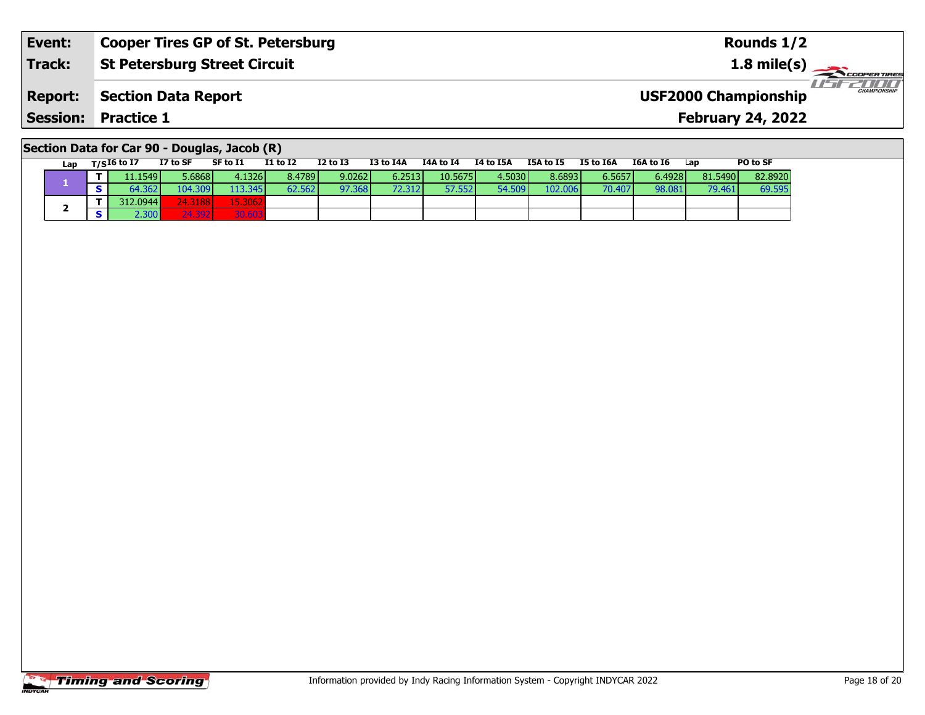| Event:          | <b>Cooper Tires GP of St. Petersburg</b> | Rounds 1/2                                         |
|-----------------|------------------------------------------|----------------------------------------------------|
| Track:          | <b>St Petersburg Street Circuit</b>      | $1.8 \text{ mile(s)}$                              |
| <b>Report:</b>  | <b>Section Data Report</b>               | <b>CHAMPIONSHIP</b><br><b>USF2000 Championship</b> |
| <b>Session:</b> | <b>Practice 1</b>                        | <b>February 24, 2022</b>                           |

| Section Data for Car 90 - Douglas, Jacob (R) |  |
|----------------------------------------------|--|
|----------------------------------------------|--|

| Lap | $T/SI6$ to $I7$ | I7 to SF | SF to I1        | <b>I1 to I2</b> | $I2$ to $I3$ | I3 to I4A | I4A to I4 | I4 to I5A | I5A to I5 | I5 to I6A | I6A to I6 | Lap     | PO to SF |
|-----|-----------------|----------|-----------------|-----------------|--------------|-----------|-----------|-----------|-----------|-----------|-----------|---------|----------|
|     | 11.15491        | 5.6868   | 4.1326          | 8.4789          | 9.0262       | 6.2513    | 10.5675   | 4.5030    | 8.6893    | 6.5657    | 6.4928    | 81.5490 | 82.8920  |
|     | 64.362 l        | 104.309  | 113.3451        | 62.562          | 97.368       | 72.312    | 57.5521   | 54.509    | 102.006   | 70.4071   | 98.081    | 79.461  | 69.595   |
|     | 312.0944        | 24.31881 | 15.3062         |                 |              |           |           |           |           |           |           |         |          |
|     | 2.300 F         | 21.202   | 20.522<br>- 120 |                 |              |           |           |           |           |           |           |         |          |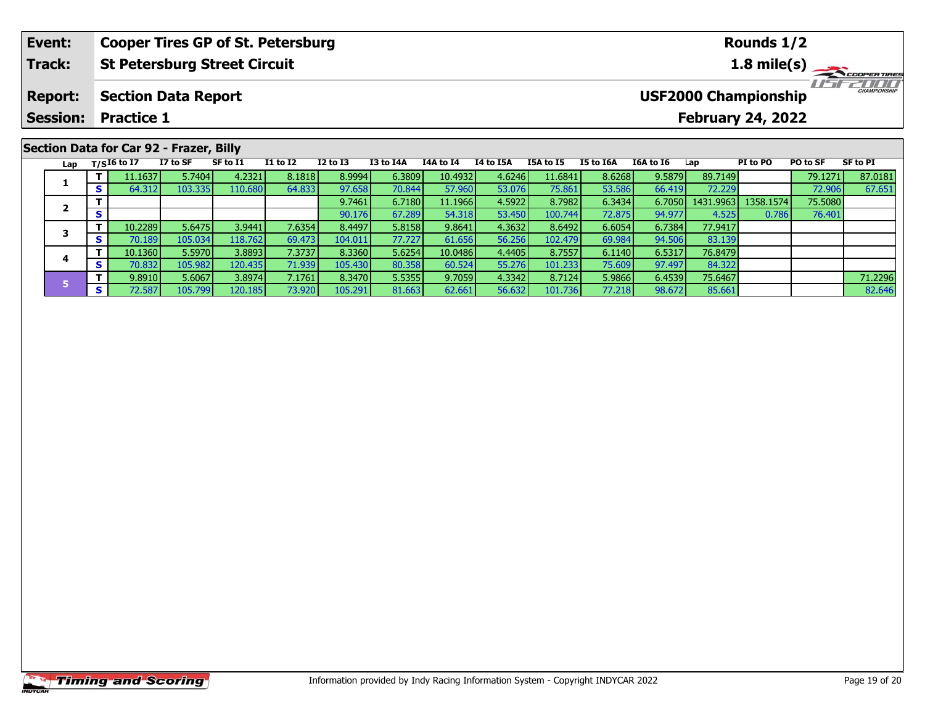| Event:                            |    |                   | <b>Cooper Tires GP of St. Petersburg</b> |          |                 |              |           |                  |           |                  |           |           |                                                         | Rounds 1/2 |          |                       |
|-----------------------------------|----|-------------------|------------------------------------------|----------|-----------------|--------------|-----------|------------------|-----------|------------------|-----------|-----------|---------------------------------------------------------|------------|----------|-----------------------|
| Track:                            |    |                   | <b>St Petersburg Street Circuit</b>      |          |                 |              |           |                  |           |                  |           |           |                                                         |            |          | $1.8 \text{ mile(s)}$ |
| <b>Report:</b><br><b>Session:</b> |    | <b>Practice 1</b> | <b>Section Data Report</b>               |          |                 |              |           |                  |           |                  |           |           | <b>USF2000 Championship</b><br><b>February 24, 2022</b> |            |          | <b>CHAMPIONSHIP</b>   |
|                                   |    |                   | Section Data for Car 92 - Frazer, Billy  |          |                 |              |           |                  |           |                  |           |           |                                                         |            |          |                       |
| Lap                               |    | T/SI6 to I7       | I7 to SF                                 | SF to I1 | <b>I1 to I2</b> | $I2$ to $I3$ | I3 to I4A | <b>I4A to I4</b> | I4 to I5A | <b>I5A to I5</b> | I5 to I6A | I6A to I6 | Lap                                                     | PI to PO   | PO to SF | SF to PI              |
|                                   |    | 11.1637           | 5.7404                                   | 4.2321   | 8.1818          | 8.9994       | 6.3809    | 10.4932          | 4.6246    | 11.6841          | 8.6268    | 9.5879    | 89.7149                                                 |            | 79.1271  | 87.0181               |
| л.                                | S. | 64.312            | 103.3351                                 | 110.680  | 64.833          | 97.658       | 70.844    | 57.960           | 53.076    | 75.861           | 53.586    | 66.419    | 72.229                                                  |            | 72.906   | 67.651                |

**<sup>T</sup>** 9.7461 6.7180 11.1966 4.5922 8.7982 6.3434 6.7050 1431.9963 1358.1574 75.5080 **<sup>S</sup>** 90.176 67.289 54.318 53.450 100.744 72.875 94.977 4.525 0.786 76.401

**<sup>T</sup>** 9.8910 5.6067 3.8974 7.1761 8.3470 5.5355 9.7059 4.3342 8.7124 5.9866 6.4539 75.6467 71.2296 **<sup>S</sup>** 72.587 105.799 120.185 73.920 105.291 81.663 62.661 56.632 101.736 77.218 98.672 85.661 82.646

**<sup>T</sup>** 10.2289 5.6475 3.9441 7.6354 8.4497 5.8158 9.8641 4.3632 8.6492 6.6054 6.7384 77.9417 **<sup>S</sup>** 70.189 105.034 118.762 69.473 104.011 77.727 61.656 56.256 102.479 69.984 94.506 83.139

**<sup>T</sup>** 10.1360 5.5970 3.8893 7.3737 8.3360 5.6254 10.0486 4.4405 8.7557 6.1140 6.5317 76.8479 **<sup>S</sup>** 70.832 105.982 120.435 71.939 105.430 80.358 60.524 55.276 101.233 75.609 97.497 84.322

**2**

**3**

**4**

**5**

76.401

83.139

84.322